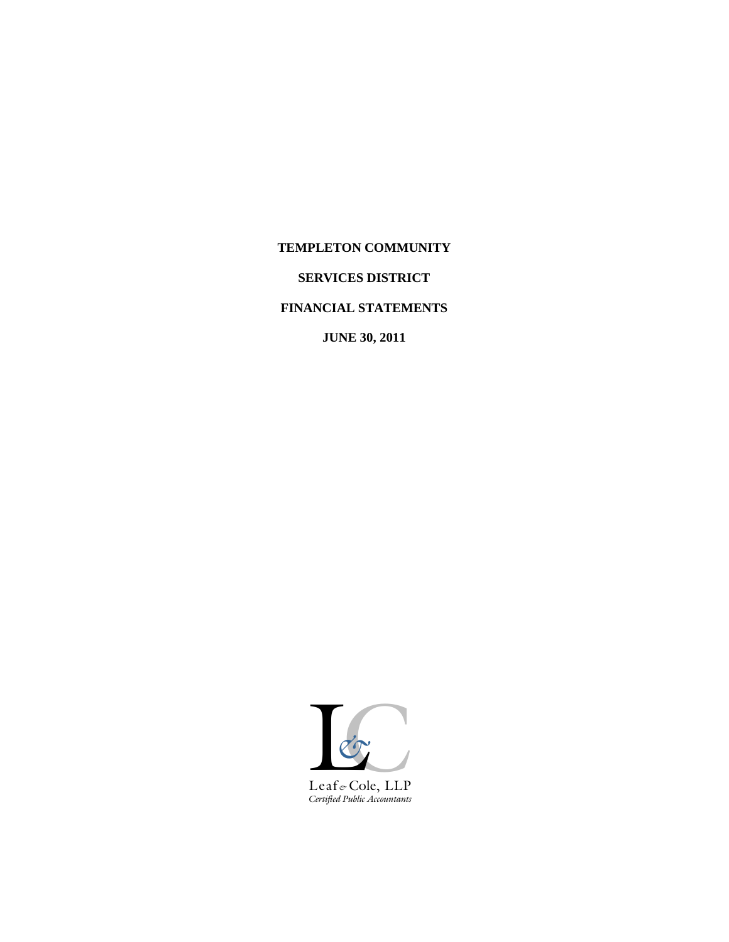# **TEMPLETON COMMUNITY**

# **SERVICES DISTRICT**

# **FINANCIAL STATEMENTS**

**JUNE 30, 2011**

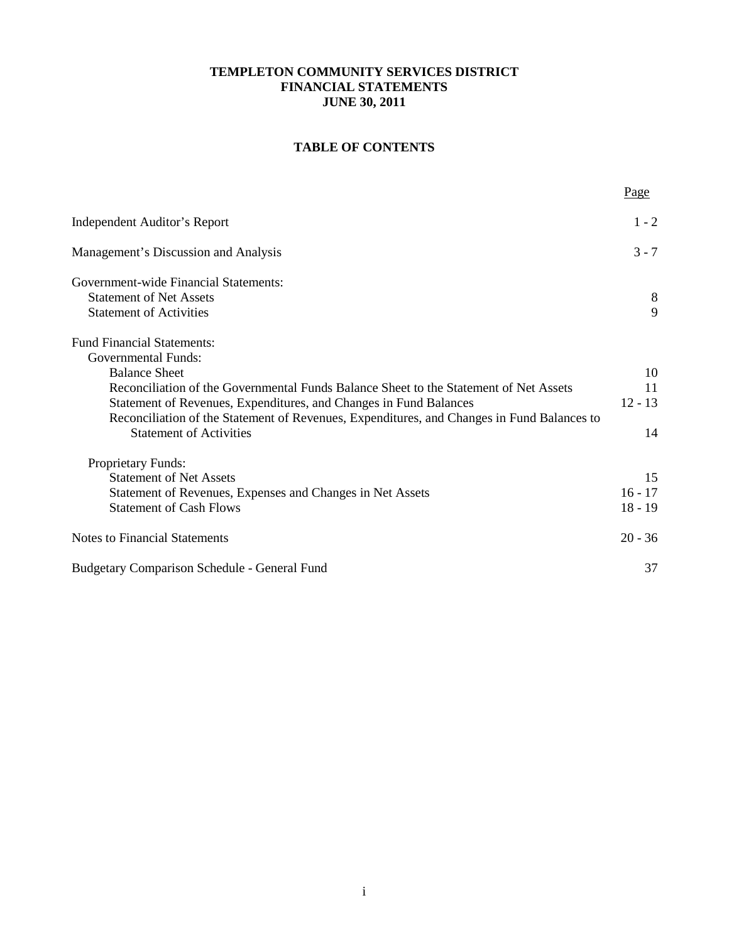# **TABLE OF CONTENTS**

|                                                                                                                                                                                                                                                                                                                                                     | Page                         |
|-----------------------------------------------------------------------------------------------------------------------------------------------------------------------------------------------------------------------------------------------------------------------------------------------------------------------------------------------------|------------------------------|
| Independent Auditor's Report                                                                                                                                                                                                                                                                                                                        | $1 - 2$                      |
| Management's Discussion and Analysis                                                                                                                                                                                                                                                                                                                | $3 - 7$                      |
| Government-wide Financial Statements:<br><b>Statement of Net Assets</b><br><b>Statement of Activities</b>                                                                                                                                                                                                                                           | 8<br>9                       |
| <b>Fund Financial Statements:</b><br><b>Governmental Funds:</b><br><b>Balance Sheet</b><br>Reconciliation of the Governmental Funds Balance Sheet to the Statement of Net Assets<br>Statement of Revenues, Expenditures, and Changes in Fund Balances<br>Reconciliation of the Statement of Revenues, Expenditures, and Changes in Fund Balances to | 10<br>11<br>$12 - 13$        |
| <b>Statement of Activities</b><br><b>Proprietary Funds:</b>                                                                                                                                                                                                                                                                                         | 14                           |
| <b>Statement of Net Assets</b><br>Statement of Revenues, Expenses and Changes in Net Assets<br><b>Statement of Cash Flows</b>                                                                                                                                                                                                                       | 15<br>$16 - 17$<br>$18 - 19$ |
| <b>Notes to Financial Statements</b>                                                                                                                                                                                                                                                                                                                | $20 - 36$                    |
| <b>Budgetary Comparison Schedule - General Fund</b>                                                                                                                                                                                                                                                                                                 | 37                           |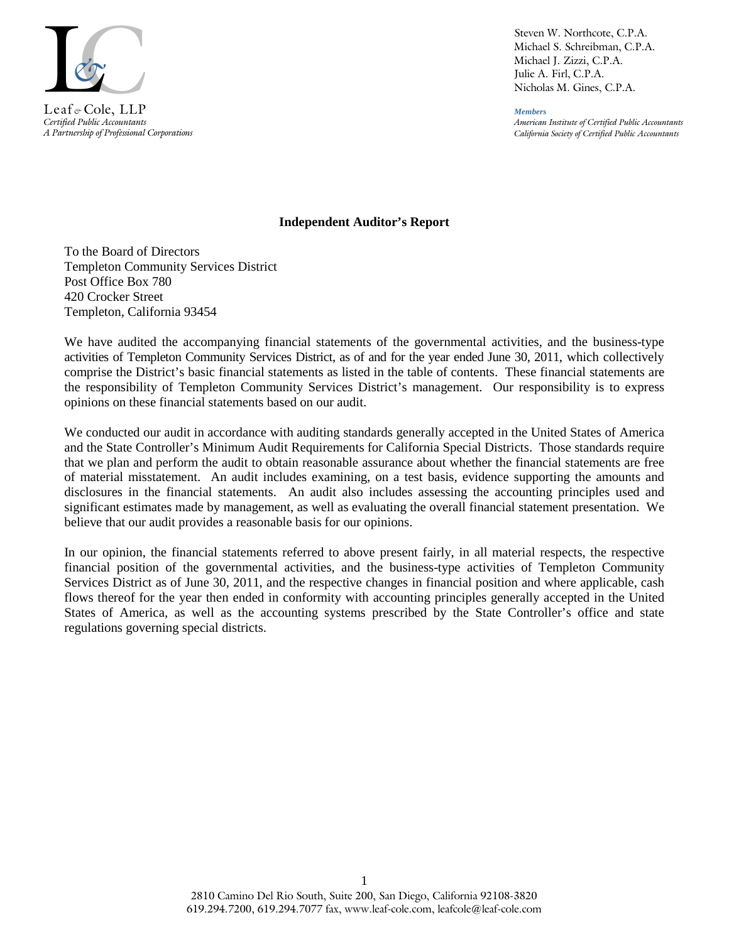

*Certified Public Accountants A Partnership of Professional Corporations*

Steven W. Northcote, C.P.A. Michael S. Schreibman, C.P.A. Michael J. Zizzi, C.P.A. Julie A. Firl, C.P.A. Nicholas M. Gines, C.P.A.

*Members American Institute of Certified Public Accountants California Society of Certified Public Accountants*

### **Independent Auditor's Report**

To the Board of Directors Templeton Community Services District Post Office Box 780 420 Crocker Street Templeton, California 93454

We have audited the accompanying financial statements of the governmental activities, and the business-type activities of Templeton Community Services District, as of and for the year ended June 30, 2011, which collectively comprise the District's basic financial statements as listed in the table of contents. These financial statements are the responsibility of Templeton Community Services District's management. Our responsibility is to express opinions on these financial statements based on our audit.

We conducted our audit in accordance with auditing standards generally accepted in the United States of America and the State Controller's Minimum Audit Requirements for California Special Districts. Those standards require that we plan and perform the audit to obtain reasonable assurance about whether the financial statements are free of material misstatement. An audit includes examining, on a test basis, evidence supporting the amounts and disclosures in the financial statements. An audit also includes assessing the accounting principles used and significant estimates made by management, as well as evaluating the overall financial statement presentation. We believe that our audit provides a reasonable basis for our opinions.

In our opinion, the financial statements referred to above present fairly, in all material respects, the respective financial position of the governmental activities, and the business-type activities of Templeton Community Services District as of June 30, 2011, and the respective changes in financial position and where applicable, cash flows thereof for the year then ended in conformity with accounting principles generally accepted in the United States of America, as well as the accounting systems prescribed by the State Controller's office and state regulations governing special districts.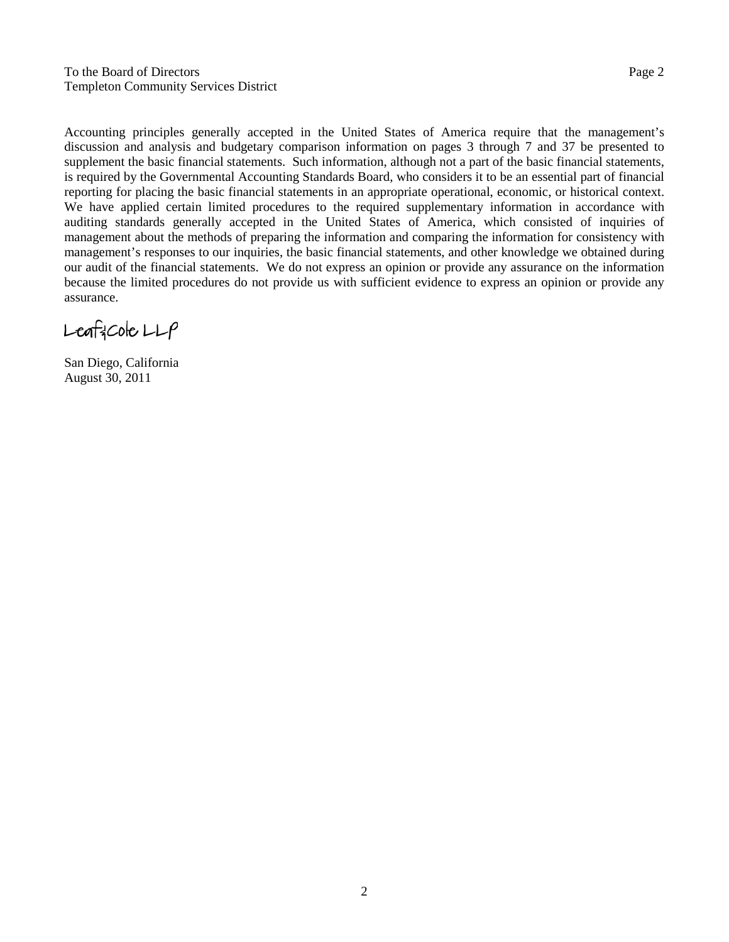To the Board of Directors Page 2 Templeton Community Services District

Accounting principles generally accepted in the United States of America require that the management's discussion and analysis and budgetary comparison information on pages 3 through 7 and 37 be presented to supplement the basic financial statements. Such information, although not a part of the basic financial statements, is required by the Governmental Accounting Standards Board, who considers it to be an essential part of financial reporting for placing the basic financial statements in an appropriate operational, economic, or historical context. We have applied certain limited procedures to the required supplementary information in accordance with auditing standards generally accepted in the United States of America, which consisted of inquiries of management about the methods of preparing the information and comparing the information for consistency with management's responses to our inquiries, the basic financial statements, and other knowledge we obtained during our audit of the financial statements. We do not express an opinion or provide any assurance on the information because the limited procedures do not provide us with sufficient evidence to express an opinion or provide any assurance.

 $L$ eaf $3$ Cole  $LLP$ 

San Diego, California August 30, 2011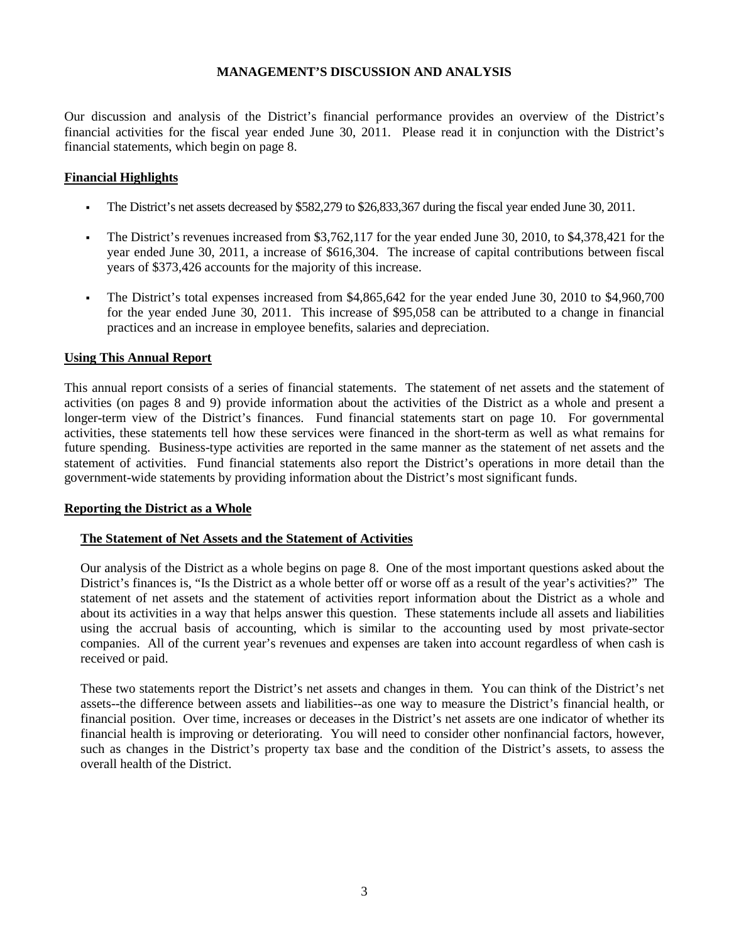Our discussion and analysis of the District's financial performance provides an overview of the District's financial activities for the fiscal year ended June 30, 2011. Please read it in conjunction with the District's financial statements, which begin on page 8.

## **Financial Highlights**

- The District's net assets decreased by \$582,279 to \$26,833,367 during the fiscal year ended June 30, 2011.
- The District's revenues increased from \$3,762,117 for the year ended June 30, 2010, to \$4,378,421 for the year ended June 30, 2011, a increase of \$616,304. The increase of capital contributions between fiscal years of \$373,426 accounts for the majority of this increase.
- The District's total expenses increased from \$4,865,642 for the year ended June 30, 2010 to \$4,960,700 for the year ended June 30, 2011. This increase of \$95,058 can be attributed to a change in financial practices and an increase in employee benefits, salaries and depreciation.

#### **Using This Annual Report**

This annual report consists of a series of financial statements. The statement of net assets and the statement of activities (on pages 8 and 9) provide information about the activities of the District as a whole and present a longer-term view of the District's finances. Fund financial statements start on page 10. For governmental activities, these statements tell how these services were financed in the short-term as well as what remains for future spending. Business-type activities are reported in the same manner as the statement of net assets and the statement of activities. Fund financial statements also report the District's operations in more detail than the government-wide statements by providing information about the District's most significant funds.

#### **Reporting the District as a Whole**

#### **The Statement of Net Assets and the Statement of Activities**

Our analysis of the District as a whole begins on page 8. One of the most important questions asked about the District's finances is, "Is the District as a whole better off or worse off as a result of the year's activities?" The statement of net assets and the statement of activities report information about the District as a whole and about its activities in a way that helps answer this question. These statements include all assets and liabilities using the accrual basis of accounting, which is similar to the accounting used by most private-sector companies. All of the current year's revenues and expenses are taken into account regardless of when cash is received or paid.

These two statements report the District's net assets and changes in them. You can think of the District's net assets--the difference between assets and liabilities--as one way to measure the District's financial health, or financial position. Over time, increases or deceases in the District's net assets are one indicator of whether its financial health is improving or deteriorating. You will need to consider other nonfinancial factors, however, such as changes in the District's property tax base and the condition of the District's assets, to assess the overall health of the District.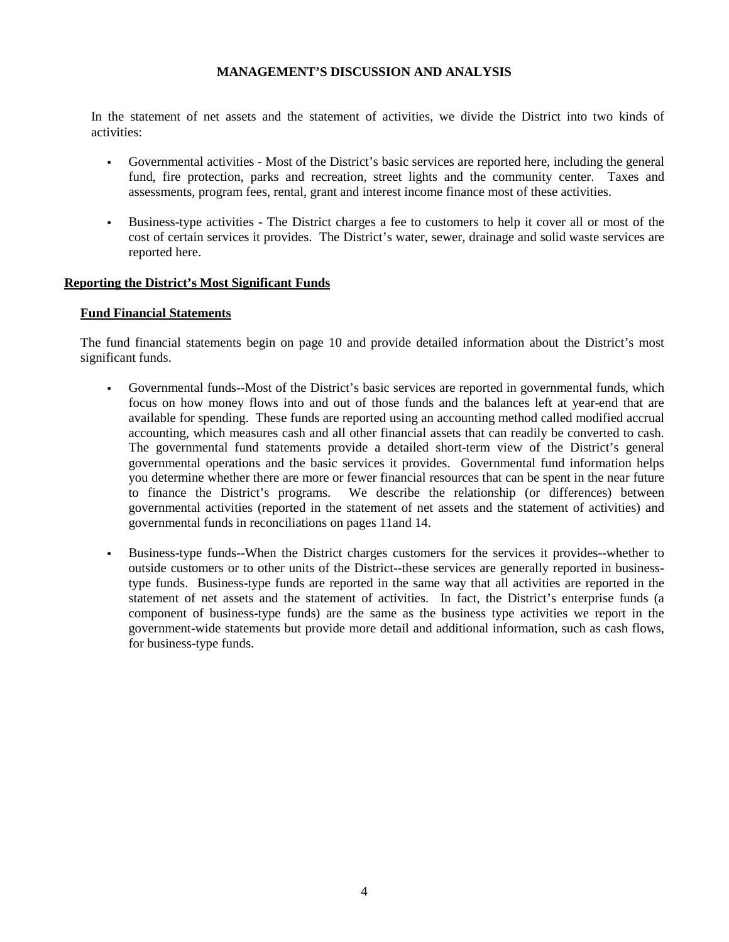In the statement of net assets and the statement of activities, we divide the District into two kinds of activities:

- Governmental activities Most of the District's basic services are reported here, including the general fund, fire protection, parks and recreation, street lights and the community center. Taxes and assessments, program fees, rental, grant and interest income finance most of these activities.
- Business-type activities The District charges a fee to customers to help it cover all or most of the cost of certain services it provides. The District's water, sewer, drainage and solid waste services are reported here.

#### **Reporting the District's Most Significant Funds**

#### **Fund Financial Statements**

The fund financial statements begin on page 10 and provide detailed information about the District's most significant funds.

- Governmental funds--Most of the District's basic services are reported in governmental funds, which focus on how money flows into and out of those funds and the balances left at year-end that are available for spending. These funds are reported using an accounting method called modified accrual accounting, which measures cash and all other financial assets that can readily be converted to cash. The governmental fund statements provide a detailed short-term view of the District's general governmental operations and the basic services it provides. Governmental fund information helps you determine whether there are more or fewer financial resources that can be spent in the near future to finance the District's programs. We describe the relationship (or differences) between governmental activities (reported in the statement of net assets and the statement of activities) and governmental funds in reconciliations on pages 11and 14.
- Business-type funds--When the District charges customers for the services it provides--whether to outside customers or to other units of the District--these services are generally reported in businesstype funds. Business-type funds are reported in the same way that all activities are reported in the statement of net assets and the statement of activities. In fact, the District's enterprise funds (a component of business-type funds) are the same as the business type activities we report in the government-wide statements but provide more detail and additional information, such as cash flows, for business-type funds.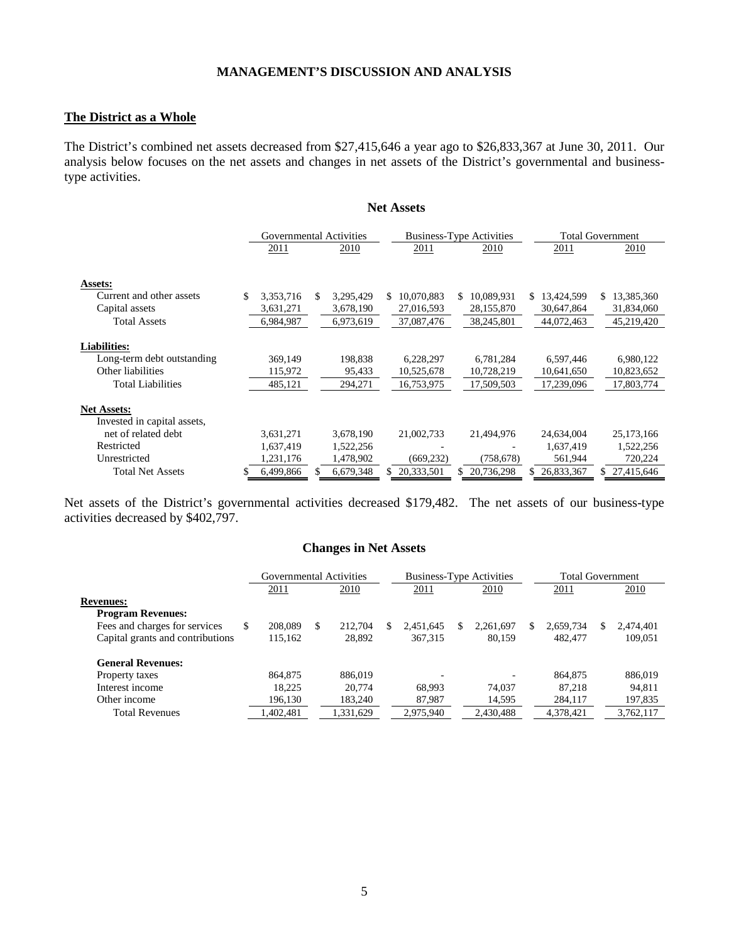### **The District as a Whole**

The District's combined net assets decreased from \$27,415,646 a year ago to \$26,833,367 at June 30, 2011. Our analysis below focuses on the net assets and changes in net assets of the District's governmental and businesstype activities.

**Net Assets**

|                             | Governmental Activities |     |           |                   | <b>Business-Type Activities</b> |    |            | <b>Total Government</b> |
|-----------------------------|-------------------------|-----|-----------|-------------------|---------------------------------|----|------------|-------------------------|
|                             | 2011                    |     | 2010      | 2011              | 2010                            |    | 2011       | 2010                    |
|                             |                         |     |           |                   |                                 |    |            |                         |
| Assets:                     |                         |     |           |                   |                                 |    |            |                         |
| Current and other assets    | \$<br>3,353,716         | \$. | 3,295,429 | \$.<br>10,070,883 | 10,089,931<br>S.                | S. | 13,424,599 | \$<br>13,385,360        |
| Capital assets              | 3,631,271               |     | 3,678,190 | 27,016,593        | 28,155,870                      |    | 30,647,864 | 31,834,060              |
| <b>Total Assets</b>         | 6,984,987               |     | 6,973,619 | 37,087,476        | 38,245,801                      |    | 44,072,463 | 45,219,420              |
|                             |                         |     |           |                   |                                 |    |            |                         |
| <b>Liabilities:</b>         |                         |     |           |                   |                                 |    |            |                         |
| Long-term debt outstanding  | 369,149                 |     | 198,838   | 6,228,297         | 6,781,284                       |    | 6,597,446  | 6,980,122               |
| Other liabilities           | 115,972                 |     | 95,433    | 10,525,678        | 10,728,219                      |    | 10,641,650 | 10,823,652              |
| <b>Total Liabilities</b>    | 485,121                 |     | 294,271   | 16,753,975        | 17,509,503                      |    | 17,239,096 | 17,803,774              |
|                             |                         |     |           |                   |                                 |    |            |                         |
| <b>Net Assets:</b>          |                         |     |           |                   |                                 |    |            |                         |
| Invested in capital assets, |                         |     |           |                   |                                 |    |            |                         |
| net of related debt         | 3,631,271               |     | 3,678,190 | 21,002,733        | 21,494,976                      |    | 24,634,004 | 25,173,166              |
| Restricted                  | 1,637,419               |     | 1,522,256 |                   |                                 |    | 1,637,419  | 1,522,256               |
| Unrestricted                | 1,231,176               |     | 1,478,902 | (669, 232)        | (758, 678)                      |    | 561,944    | 720,224                 |
| <b>Total Net Assets</b>     | \$<br>6,499,866         | S   | 6,679,348 | 20,333,501        | 20,736,298                      |    | 26,833,367 | 27,415,646              |

Net assets of the District's governmental activities decreased \$179,482. The net assets of our business-type activities decreased by \$402,797.

#### **Changes in Net Assets**

|                                  |    | Governmental Activities |    |           |   | <b>Business-Type Activities</b> |   |           | Total Government |           |    |           |
|----------------------------------|----|-------------------------|----|-----------|---|---------------------------------|---|-----------|------------------|-----------|----|-----------|
|                                  |    | 2011                    |    | 2010      |   | 2011                            |   | 2010      |                  | 2011      |    | 2010      |
| <b>Revenues:</b>                 |    |                         |    |           |   |                                 |   |           |                  |           |    |           |
| <b>Program Revenues:</b>         |    |                         |    |           |   |                                 |   |           |                  |           |    |           |
| Fees and charges for services    | S. | 208,089                 | \$ | 212,704   | S | 2,451,645                       | S | 2,261,697 | S.               | 2,659,734 | S. | 2,474,401 |
| Capital grants and contributions |    | 115,162                 |    | 28,892    |   | 367, 315                        |   | 80.159    |                  | 482,477   |    | 109.051   |
| <b>General Revenues:</b>         |    |                         |    |           |   |                                 |   |           |                  |           |    |           |
| Property taxes                   |    | 864,875                 |    | 886,019   |   |                                 |   |           |                  | 864,875   |    | 886,019   |
| Interest income                  |    | 18.225                  |    | 20,774    |   | 68.993                          |   | 74.037    |                  | 87.218    |    | 94,811    |
| Other income                     |    | 196,130                 |    | 183.240   |   | 87.987                          |   | 14,595    |                  | 284,117   |    | 197,835   |
| <b>Total Revenues</b>            |    | 1,402,481               |    | 1,331,629 |   | 2.975.940                       |   | 2,430,488 |                  | 4,378,421 |    | 3.762.117 |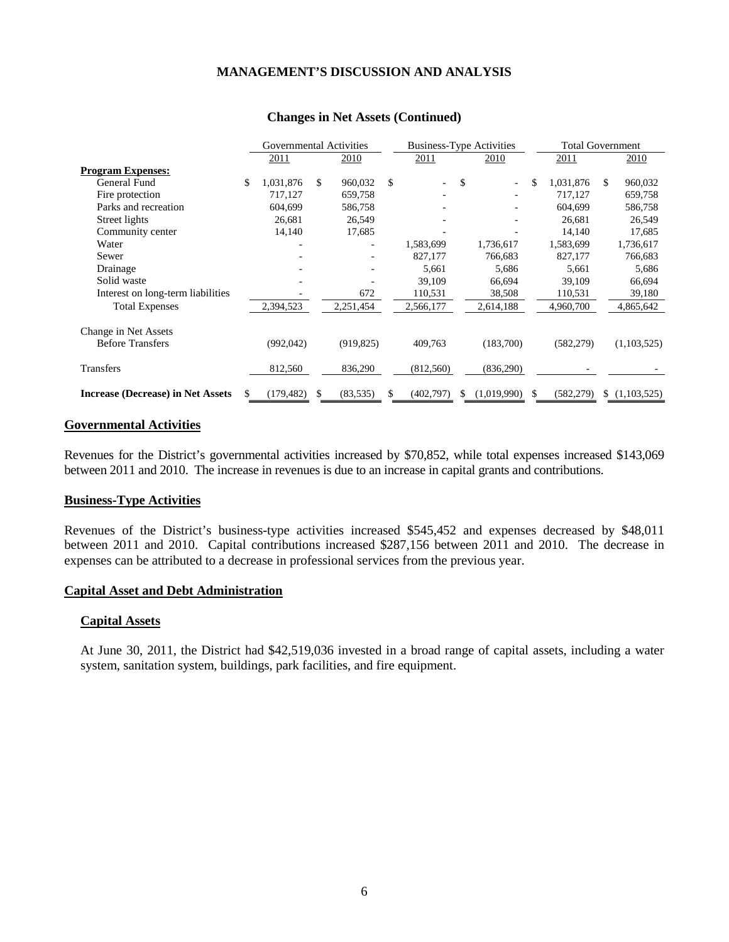|                                          | Governmental Activities |               |            |    | <b>Business-Type Activities</b> |    |             | <b>Total Government</b> |            |     |             |
|------------------------------------------|-------------------------|---------------|------------|----|---------------------------------|----|-------------|-------------------------|------------|-----|-------------|
|                                          | 2011                    |               | 2010       |    | 2011                            |    | 2010        |                         | 2011       |     | 2010        |
| <b>Program Expenses:</b>                 |                         |               |            |    |                                 |    |             |                         |            |     |             |
| General Fund                             | \$<br>1,031,876         | \$            | 960,032    | \$ | $\overline{\phantom{a}}$        | \$ |             | \$                      | 1,031,876  | \$. | 960,032     |
| Fire protection                          | 717,127                 |               | 659,758    |    |                                 |    |             |                         | 717,127    |     | 659,758     |
| Parks and recreation                     | 604,699                 |               | 586,758    |    |                                 |    |             |                         | 604,699    |     | 586,758     |
| Street lights                            | 26,681                  |               | 26,549     |    |                                 |    |             |                         | 26,681     |     | 26,549      |
| Community center                         | 14,140                  |               | 17,685     |    |                                 |    |             |                         | 14,140     |     | 17,685      |
| Water                                    |                         |               |            |    | 1,583,699                       |    | 1,736,617   |                         | 1,583,699  |     | 1,736,617   |
| Sewer                                    |                         |               |            |    | 827,177                         |    | 766,683     |                         | 827,177    |     | 766,683     |
| Drainage                                 |                         |               |            |    | 5,661                           |    | 5,686       |                         | 5,661      |     | 5,686       |
| Solid waste                              |                         |               |            |    | 39,109                          |    | 66,694      |                         | 39,109     |     | 66,694      |
| Interest on long-term liabilities        |                         |               | 672        |    | 110,531                         |    | 38,508      |                         | 110,531    |     | 39,180      |
| <b>Total Expenses</b>                    | 2,394,523               |               | 2,251,454  |    | 2,566,177                       |    | 2,614,188   |                         | 4,960,700  |     | 4,865,642   |
| Change in Net Assets                     |                         |               |            |    |                                 |    |             |                         |            |     |             |
| <b>Before Transfers</b>                  | (992, 042)              |               | (919, 825) |    | 409,763                         |    | (183,700)   |                         | (582, 279) |     | (1,103,525) |
| <b>Transfers</b>                         | 812,560                 |               | 836,290    |    | (812,560)                       |    | (836,290)   |                         |            |     |             |
| <b>Increase (Decrease) in Net Assets</b> | (179, 482)              | <sup>\$</sup> | (83, 535)  | \$ | (402,797)                       | \$ | (1,019,990) | \$.                     | (582, 279) | \$. | (1,103,525) |

#### **Changes in Net Assets (Continued)**

#### **Governmental Activities**

Revenues for the District's governmental activities increased by \$70,852, while total expenses increased \$143,069 between 2011 and 2010. The increase in revenues is due to an increase in capital grants and contributions.

#### **Business-Type Activities**

Revenues of the District's business-type activities increased \$545,452 and expenses decreased by \$48,011 between 2011 and 2010. Capital contributions increased \$287,156 between 2011 and 2010. The decrease in expenses can be attributed to a decrease in professional services from the previous year.

#### **Capital Asset and Debt Administration**

#### **Capital Assets**

At June 30, 2011, the District had \$42,519,036 invested in a broad range of capital assets, including a water system, sanitation system, buildings, park facilities, and fire equipment.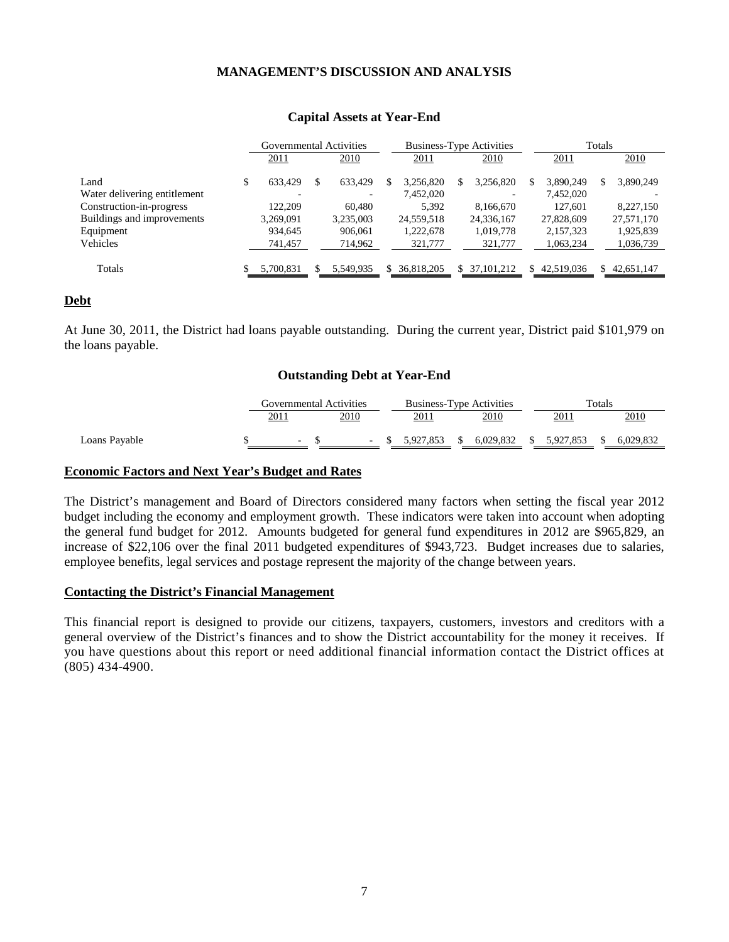|                              | Governmental Activities |   |           | <b>Business-Type Activities</b> |            |  |            |  | Totals     |  |            |  |
|------------------------------|-------------------------|---|-----------|---------------------------------|------------|--|------------|--|------------|--|------------|--|
|                              | 2011                    |   | 2010      |                                 | 2011       |  | 2010       |  | 2011       |  | 2010       |  |
| Land                         | 633.429                 | S | 633,429   |                                 | 3.256.820  |  | 3,256,820  |  | 3.890.249  |  | 3,890,249  |  |
| Water delivering entitlement |                         |   |           |                                 | 7,452,020  |  |            |  | 7,452,020  |  |            |  |
| Construction-in-progress     | 122,209                 |   | 60,480    |                                 | 5.392      |  | 8,166,670  |  | 127.601    |  | 8,227,150  |  |
| Buildings and improvements   | 3.269.091               |   | 3.235.003 |                                 | 24,559,518 |  | 24,336,167 |  | 27,828,609 |  | 27,571,170 |  |
| Equipment                    | 934,645                 |   | 906,061   |                                 | 1,222,678  |  | 1,019,778  |  | 2,157,323  |  | 1,925,839  |  |
| Vehicles                     | 741,457                 |   | 714,962   |                                 | 321,777    |  | 321,777    |  | 1,063,234  |  | 1,036,739  |  |
| Totals                       | 5.700.831               |   | 5,549,935 |                                 | 36,818,205 |  | 37.101.212 |  | 42.519.036 |  | 42,651,147 |  |

#### **Capital Assets at Year-End**

#### **Debt**

At June 30, 2011, the District had loans payable outstanding. During the current year, District paid \$101,979 on the loans payable.

#### **Outstanding Debt at Year-End**

|               | Governmental Activities  |  |                          | <b>Business-Type Activities</b> |           |  |           |    | Totals    |  |           |  |
|---------------|--------------------------|--|--------------------------|---------------------------------|-----------|--|-----------|----|-----------|--|-----------|--|
|               | 2011                     |  | 2010                     |                                 | 2011      |  | 2010      |    | 2011      |  | 2010      |  |
| Loans Payable | $\overline{\phantom{a}}$ |  | $\overline{\phantom{a}}$ |                                 | 5.927.853 |  | 6.029.832 | S. | 5.927.853 |  | 6.029.832 |  |

#### **Economic Factors and Next Year's Budget and Rates**

The District's management and Board of Directors considered many factors when setting the fiscal year 2012 budget including the economy and employment growth. These indicators were taken into account when adopting the general fund budget for 2012. Amounts budgeted for general fund expenditures in 2012 are \$965,829, an increase of \$22,106 over the final 2011 budgeted expenditures of \$943,723. Budget increases due to salaries, employee benefits, legal services and postage represent the majority of the change between years.

#### **Contacting the District's Financial Management**

This financial report is designed to provide our citizens, taxpayers, customers, investors and creditors with a general overview of the District's finances and to show the District accountability for the money it receives. If you have questions about this report or need additional financial information contact the District offices at (805) 434-4900.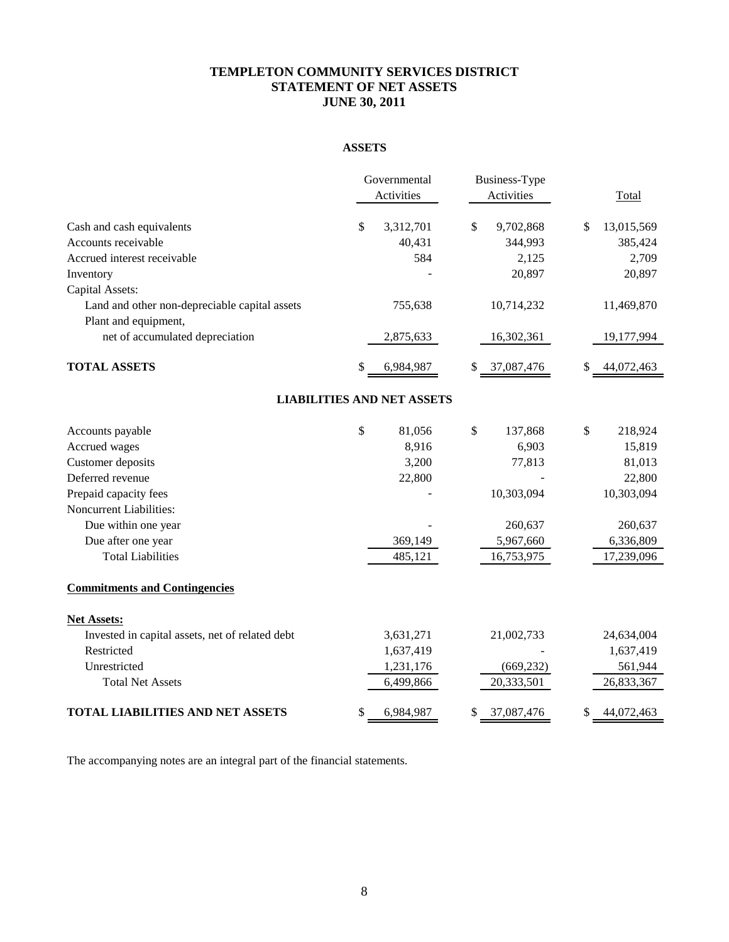# **TEMPLETON COMMUNITY SERVICES DISTRICT STATEMENT OF NET ASSETS JUNE 30, 2011**

# **ASSETS**

|                                                 |    | Governmental<br>Activities        | Business-Type<br>Activities | Total            |
|-------------------------------------------------|----|-----------------------------------|-----------------------------|------------------|
| Cash and cash equivalents                       | \$ | 3,312,701                         | \$<br>9,702,868             | \$<br>13,015,569 |
| Accounts receivable                             |    | 40,431                            | 344,993                     | 385,424          |
| Accrued interest receivable                     |    | 584                               | 2,125                       | 2,709            |
| Inventory                                       |    |                                   | 20,897                      | 20,897           |
| Capital Assets:                                 |    |                                   |                             |                  |
| Land and other non-depreciable capital assets   |    | 755,638                           | 10,714,232                  | 11,469,870       |
| Plant and equipment,                            |    |                                   |                             |                  |
| net of accumulated depreciation                 |    | 2,875,633                         | 16,302,361                  | 19,177,994       |
| <b>TOTAL ASSETS</b>                             | S  | 6,984,987                         | 37,087,476                  | 44,072,463       |
|                                                 |    | <b>LIABILITIES AND NET ASSETS</b> |                             |                  |
| Accounts payable                                | \$ | 81,056                            | \$<br>137,868               | \$<br>218,924    |
| Accrued wages                                   |    | 8,916                             | 6,903                       | 15,819           |
| Customer deposits                               |    | 3,200                             | 77,813                      | 81,013           |
| Deferred revenue                                |    | 22,800                            |                             | 22,800           |
| Prepaid capacity fees                           |    |                                   | 10,303,094                  | 10,303,094       |
| Noncurrent Liabilities:                         |    |                                   |                             |                  |
| Due within one year                             |    |                                   | 260,637                     | 260,637          |
| Due after one year                              |    | 369,149                           | 5,967,660                   | 6,336,809        |
| <b>Total Liabilities</b>                        |    | 485,121                           | 16,753,975                  | 17,239,096       |
| <b>Commitments and Contingencies</b>            |    |                                   |                             |                  |
| <b>Net Assets:</b>                              |    |                                   |                             |                  |
| Invested in capital assets, net of related debt |    | 3,631,271                         | 21,002,733                  | 24,634,004       |
| Restricted                                      |    | 1,637,419                         |                             | 1,637,419        |
| Unrestricted                                    |    | 1,231,176                         | (669, 232)                  | 561,944          |
| <b>Total Net Assets</b>                         |    | 6,499,866                         | 20,333,501                  | 26,833,367       |
| <b>TOTAL LIABILITIES AND NET ASSETS</b>         | \$ | 6,984,987                         | 37,087,476                  | 44,072,463       |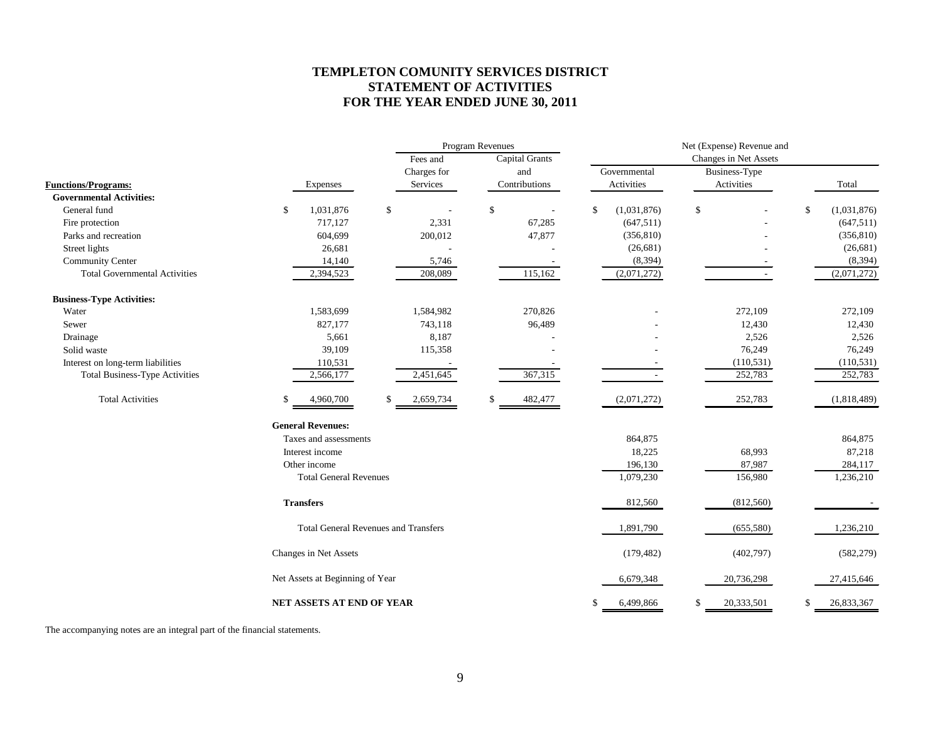# **TEMPLETON COMUNITY SERVICES DISTRICT STATEMENT OF ACTIVITIES FOR THE YEAR ENDED JUNE 30, 2011**

|                                       |                          |                                             |    | <b>Program Revenues</b> |    | Net (Expense) Revenue and |    |              |              |                       |    |             |  |
|---------------------------------------|--------------------------|---------------------------------------------|----|-------------------------|----|---------------------------|----|--------------|--------------|-----------------------|----|-------------|--|
|                                       |                          |                                             |    | Fees and                |    | <b>Capital Grants</b>     |    |              |              | Changes in Net Assets |    |             |  |
|                                       |                          |                                             |    | Charges for             |    | and                       |    | Governmental |              | Business-Type         |    |             |  |
| <b>Functions/Programs:</b>            |                          | Expenses                                    |    | Services                |    | Contributions             |    | Activities   |              | Activities            |    | Total       |  |
| <b>Governmental Activities:</b>       |                          |                                             |    |                         |    |                           |    |              |              |                       |    |             |  |
| General fund                          | \$                       | 1,031,876                                   | \$ |                         | \$ |                           | \$ | (1,031,876)  | $\mathbb{S}$ |                       | \$ | (1,031,876) |  |
| Fire protection                       |                          | 717,127                                     |    | 2,331                   |    | 67,285                    |    | (647, 511)   |              |                       |    | (647, 511)  |  |
| Parks and recreation                  |                          | 604,699                                     |    | 200,012                 |    | 47,877                    |    | (356, 810)   |              |                       |    | (356, 810)  |  |
| Street lights                         |                          | 26,681                                      |    |                         |    |                           |    | (26,681)     |              |                       |    | (26,681)    |  |
| <b>Community Center</b>               |                          | 14,140                                      |    | 5,746                   |    |                           |    | (8, 394)     |              |                       |    | (8, 394)    |  |
| <b>Total Governmental Activities</b>  |                          | 2,394,523                                   |    | 208,089                 |    | 115,162                   |    | (2,071,272)  |              |                       |    | (2,071,272) |  |
| <b>Business-Type Activities:</b>      |                          |                                             |    |                         |    |                           |    |              |              |                       |    |             |  |
| Water                                 |                          | 1,583,699                                   |    | 1,584,982               |    | 270,826                   |    |              |              | 272,109               |    | 272,109     |  |
| Sewer                                 |                          | 827,177                                     |    | 743,118                 |    | 96,489                    |    |              |              | 12,430                |    | 12,430      |  |
| Drainage                              |                          | 5,661                                       |    | 8,187                   |    |                           |    |              |              | 2,526                 |    | 2,526       |  |
| Solid waste                           |                          | 39,109                                      |    | 115,358                 |    |                           |    |              |              | 76,249                |    | 76,249      |  |
| Interest on long-term liabilities     |                          | 110,531                                     |    |                         |    |                           |    |              |              | (110, 531)            |    | (110, 531)  |  |
| <b>Total Business-Type Activities</b> |                          | 2,566,177                                   |    | 2,451,645               |    | 367,315                   |    |              |              | 252,783               |    | 252,783     |  |
| <b>Total Activities</b>               |                          | 4,960,700                                   | \$ | 2,659,734               | \$ | 482,477                   |    | (2,071,272)  |              | 252,783               |    | (1,818,489) |  |
|                                       | <b>General Revenues:</b> |                                             |    |                         |    |                           |    |              |              |                       |    |             |  |
|                                       |                          | Taxes and assessments                       |    |                         |    |                           |    | 864,875      |              |                       |    | 864,875     |  |
|                                       | Interest income          |                                             |    |                         |    |                           |    | 18,225       |              | 68,993                |    | 87,218      |  |
|                                       | Other income             |                                             |    |                         |    |                           |    | 196,130      |              | 87,987                |    | 284,117     |  |
|                                       |                          | <b>Total General Revenues</b>               |    |                         |    |                           |    | 1,079,230    |              | 156,980               |    | 1,236,210   |  |
|                                       | <b>Transfers</b>         |                                             |    |                         |    |                           |    | 812,560      |              | (812, 560)            |    |             |  |
|                                       |                          | <b>Total General Revenues and Transfers</b> |    |                         |    |                           |    | 1,891,790    |              | (655, 580)            |    | 1,236,210   |  |
|                                       | Changes in Net Assets    |                                             |    |                         |    |                           |    | (179, 482)   |              | (402, 797)            |    | (582, 279)  |  |
|                                       |                          | Net Assets at Beginning of Year             |    |                         |    |                           |    | 6,679,348    |              | 20,736,298            |    | 27,415,646  |  |
|                                       |                          | NET ASSETS AT END OF YEAR                   |    |                         |    |                           | \$ | 6,499,866    | \$           | 20,333,501            | \$ | 26,833,367  |  |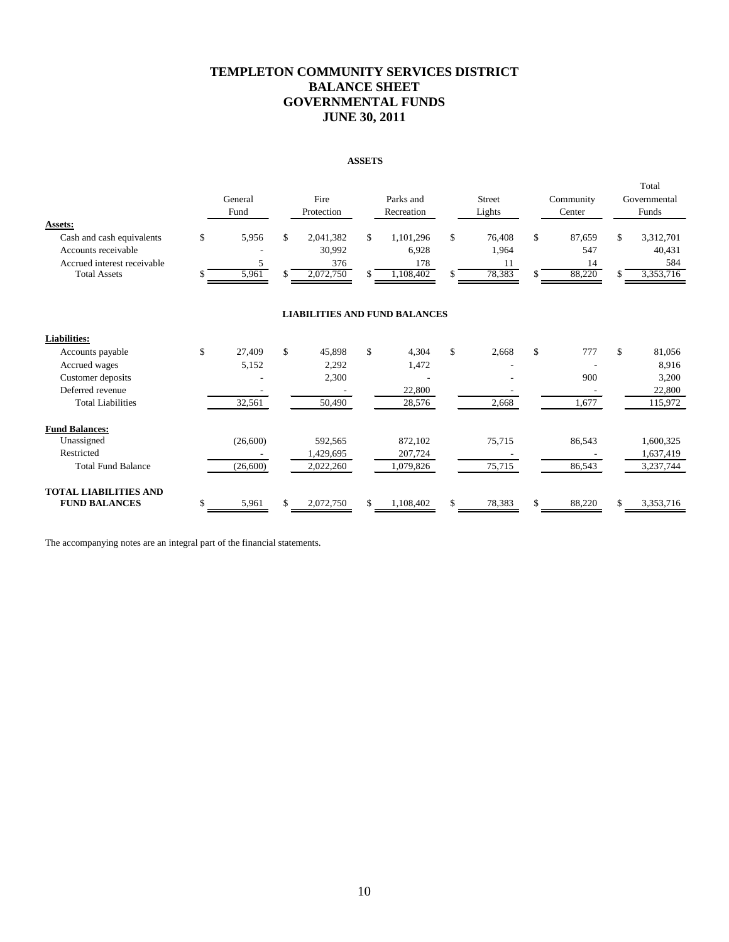# **TEMPLETON COMMUNITY SERVICES DISTRICT BALANCE SHEET GOVERNMENTAL FUNDS JUNE 30, 2011**

#### **ASSETS**

|                                                                                                                   |         | General<br>Fund     | Fire<br>Protection                            | Parks and<br>Recreation                      |          | <b>Street</b><br>Lights         |                    | Community<br>Center           | Total<br>Governmental<br>Funds                |
|-------------------------------------------------------------------------------------------------------------------|---------|---------------------|-----------------------------------------------|----------------------------------------------|----------|---------------------------------|--------------------|-------------------------------|-----------------------------------------------|
| Assets:<br>Cash and cash equivalents<br>Accounts receivable<br>Accrued interest receivable<br><b>Total Assets</b> | \$<br>S | 5,956<br>5<br>5,961 | \$<br>2,041,382<br>30.992<br>376<br>2,072,750 | \$<br>1,101,296<br>6,928<br>178<br>1,108,402 | \$<br>\$ | 76,408<br>1,964<br>11<br>78,383 | $\mathbb{S}$       | 87,659<br>547<br>14<br>88,220 | \$<br>3,312,701<br>40,431<br>584<br>3,353,716 |
|                                                                                                                   |         |                     | <b>LIABILITIES AND FUND BALANCES</b>          |                                              |          |                                 |                    |                               |                                               |
| <b>Liabilities:</b>                                                                                               |         |                     |                                               |                                              |          |                                 |                    |                               |                                               |
| Accounts payable                                                                                                  | \$      | 27.409              | \$<br>45.898                                  | \$<br>4,304                                  | \$       | 2,668                           | $\mathbf{\hat{S}}$ | 777                           | \$<br>81,056                                  |
| Accrued wages                                                                                                     |         | 5,152               | 2,292                                         | 1,472                                        |          |                                 |                    |                               | 8,916                                         |
| Customer deposits                                                                                                 |         |                     | 2,300                                         |                                              |          |                                 |                    | 900                           | 3,200                                         |
| Deferred revenue                                                                                                  |         |                     |                                               | 22,800                                       |          |                                 |                    |                               | 22,800                                        |
| <b>Total Liabilities</b>                                                                                          |         | 32,561              | 50,490                                        | 28,576                                       |          | 2,668                           |                    | 1,677                         | 115,972                                       |
| <b>Fund Balances:</b>                                                                                             |         |                     |                                               |                                              |          |                                 |                    |                               |                                               |
| Unassigned                                                                                                        |         | (26,600)            | 592,565                                       | 872,102                                      |          | 75,715                          |                    | 86,543                        | 1,600,325                                     |
| Restricted                                                                                                        |         |                     | 1,429,695                                     | 207,724                                      |          |                                 |                    |                               | 1,637,419                                     |
| <b>Total Fund Balance</b>                                                                                         |         | (26, 600)           | 2,022,260                                     | 1,079,826                                    |          | 75,715                          |                    | 86,543                        | 3,237,744                                     |
| <b>TOTAL LIABILITIES AND</b>                                                                                      |         |                     |                                               |                                              |          |                                 |                    |                               |                                               |
| <b>FUND BALANCES</b>                                                                                              | \$      | 5,961               | \$<br>2,072,750                               | \$<br>1,108,402                              | \$       | 78,383                          | \$                 | 88,220                        | \$<br>3,353,716                               |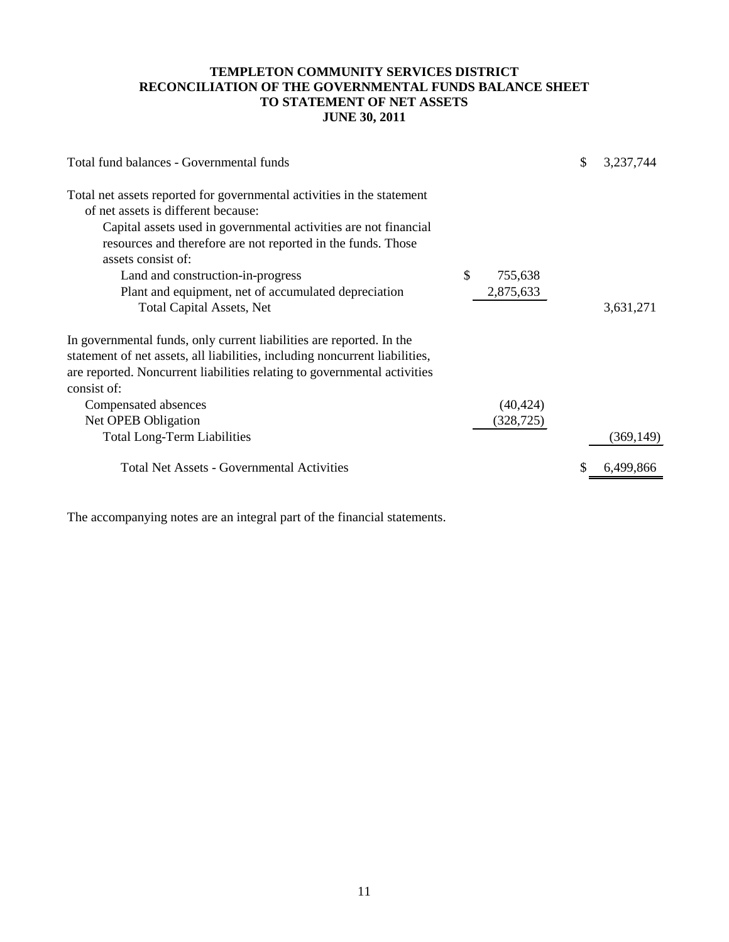# **TEMPLETON COMMUNITY SERVICES DISTRICT RECONCILIATION OF THE GOVERNMENTAL FUNDS BALANCE SHEET TO STATEMENT OF NET ASSETS JUNE 30, 2011**

| Total fund balances - Governmental funds                                                                                                                                                                                                                                                                                                                                                                 |                            | S | 3,237,744  |
|----------------------------------------------------------------------------------------------------------------------------------------------------------------------------------------------------------------------------------------------------------------------------------------------------------------------------------------------------------------------------------------------------------|----------------------------|---|------------|
| Total net assets reported for governmental activities in the statement<br>of net assets is different because:<br>Capital assets used in governmental activities are not financial<br>resources and therefore are not reported in the funds. Those<br>assets consist of:<br>Land and construction-in-progress<br>Plant and equipment, net of accumulated depreciation<br><b>Total Capital Assets, Net</b> | \$<br>755,638<br>2,875,633 |   | 3,631,271  |
| In governmental funds, only current liabilities are reported. In the<br>statement of net assets, all liabilities, including noncurrent liabilities,<br>are reported. Noncurrent liabilities relating to governmental activities<br>consist of:<br>Compensated absences<br>Net OPEB Obligation<br><b>Total Long-Term Liabilities</b>                                                                      | (40, 424)<br>(328, 725)    |   | (369, 149) |
| <b>Total Net Assets - Governmental Activities</b>                                                                                                                                                                                                                                                                                                                                                        |                            |   |            |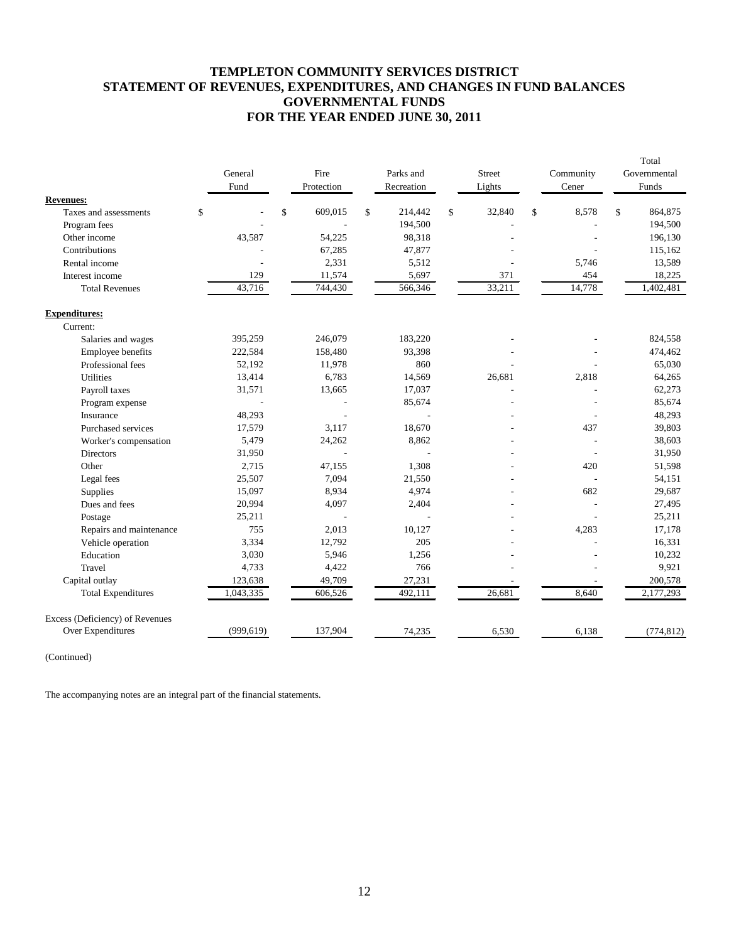# **TEMPLETON COMMUNITY SERVICES DISTRICT STATEMENT OF REVENUES, EXPENDITURES, AND CHANGES IN FUND BALANCES GOVERNMENTAL FUNDS FOR THE YEAR ENDED JUNE 30, 2011**

|                                 | General    | Fire          | Parks and     | <b>Street</b> | Community   | Total<br>Governmental |
|---------------------------------|------------|---------------|---------------|---------------|-------------|-----------------------|
|                                 | Fund       | Protection    | Recreation    | Lights        | Cener       | Funds                 |
| <b>Revenues:</b>                |            |               |               |               |             |                       |
| Taxes and assessments           | \$         | \$<br>609,015 | \$<br>214,442 | \$<br>32,840  | \$<br>8,578 | \$<br>864,875         |
| Program fees                    |            |               | 194,500       |               |             | 194,500               |
| Other income                    | 43,587     | 54,225        | 98,318        |               |             | 196,130               |
| Contributions                   |            | 67,285        | 47,877        |               |             | 115,162               |
| Rental income                   |            | 2,331         | 5,512         |               | 5,746       | 13,589                |
| Interest income                 | 129        | 11,574        | 5,697         | 371           | 454         | 18,225                |
| <b>Total Revenues</b>           | 43,716     | 744,430       | 566,346       | 33,211        | 14,778      | 1,402,481             |
| <b>Expenditures:</b>            |            |               |               |               |             |                       |
| Current:                        |            |               |               |               |             |                       |
| Salaries and wages              | 395,259    | 246,079       | 183,220       |               |             | 824,558               |
| Employee benefits               | 222,584    | 158,480       | 93,398        |               |             | 474,462               |
| Professional fees               | 52,192     | 11,978        | 860           |               |             | 65,030                |
| <b>Utilities</b>                | 13,414     | 6,783         | 14,569        | 26,681        | 2,818       | 64,265                |
| Payroll taxes                   | 31,571     | 13,665        | 17,037        |               |             | 62,273                |
| Program expense                 |            |               | 85,674        |               |             | 85,674                |
| Insurance                       | 48,293     | ÷             |               |               |             | 48,293                |
| Purchased services              | 17,579     | 3,117         | 18,670        |               | 437         | 39,803                |
| Worker's compensation           | 5,479      | 24,262        | 8,862         |               |             | 38,603                |
| Directors                       | 31,950     |               |               |               |             | 31,950                |
| Other                           | 2,715      | 47,155        | 1,308         |               | 420         | 51,598                |
| Legal fees                      | 25,507     | 7,094         | 21,550        |               |             | 54,151                |
| Supplies                        | 15,097     | 8,934         | 4,974         |               | 682         | 29,687                |
| Dues and fees                   | 20,994     | 4,097         | 2,404         |               |             | 27,495                |
| Postage                         | 25,211     |               |               |               |             | 25,211                |
| Repairs and maintenance         | 755        | 2,013         | 10,127        |               | 4,283       | 17,178                |
| Vehicle operation               | 3,334      | 12,792        | 205           |               |             | 16,331                |
| Education                       | 3,030      | 5,946         | 1,256         |               |             | 10,232                |
| Travel                          | 4,733      | 4,422         | 766           |               |             | 9,921                 |
| Capital outlay                  | 123,638    | 49,709        | 27,231        |               |             | 200,578               |
| <b>Total Expenditures</b>       | 1,043,335  | 606,526       | 492,111       | 26,681        | 8,640       | 2,177,293             |
| Excess (Deficiency) of Revenues |            |               |               |               |             |                       |
| Over Expenditures               | (999, 619) | 137,904       | 74,235        | 6,530         | 6,138       | (774, 812)            |

(Continued)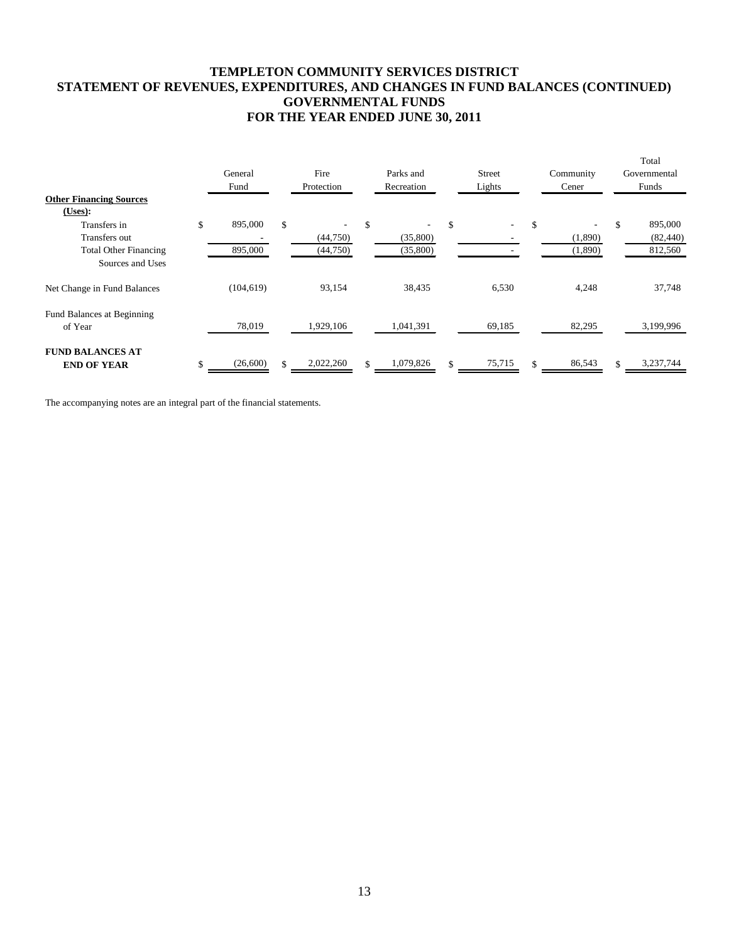# **TEMPLETON COMMUNITY SERVICES DISTRICT STATEMENT OF REVENUES, EXPENDITURES, AND CHANGES IN FUND BALANCES (CONTINUED) GOVERNMENTAL FUNDS FOR THE YEAR ENDED JUNE 30, 2011**

|                                |               |     |            |                 |                                |           |     | Total        |
|--------------------------------|---------------|-----|------------|-----------------|--------------------------------|-----------|-----|--------------|
|                                | General       |     | Fire       | Parks and       | <b>Street</b>                  | Community |     | Governmental |
|                                | Fund          |     | Protection | Recreation      | Lights                         | Cener     |     | Funds        |
| <b>Other Financing Sources</b> |               |     |            |                 |                                |           |     |              |
| (Users):                       |               |     |            |                 |                                |           |     |              |
| Transfers in                   | \$<br>895,000 | \$  |            | \$              | \$<br>$\overline{\phantom{a}}$ | \$        | \$. | 895,000      |
| Transfers out                  |               |     | (44,750)   | (35,800)        |                                | (1,890)   |     | (82, 440)    |
| <b>Total Other Financing</b>   | 895,000       |     | (44,750)   | (35,800)        |                                | (1,890)   |     | 812,560      |
| Sources and Uses               |               |     |            |                 |                                |           |     |              |
| Net Change in Fund Balances    | (104, 619)    |     | 93,154     | 38,435          | 6,530                          | 4,248     |     | 37,748       |
| Fund Balances at Beginning     |               |     |            |                 |                                |           |     |              |
| of Year                        | 78,019        |     | 1,929,106  | 1,041,391       | 69,185                         | 82,295    |     | 3,199,996    |
| <b>FUND BALANCES AT</b>        |               |     |            |                 |                                |           |     |              |
| <b>END OF YEAR</b>             | (26,600)      | \$. | 2,022,260  | \$<br>1,079,826 | 75,715                         | 86,543    |     | 3,237,744    |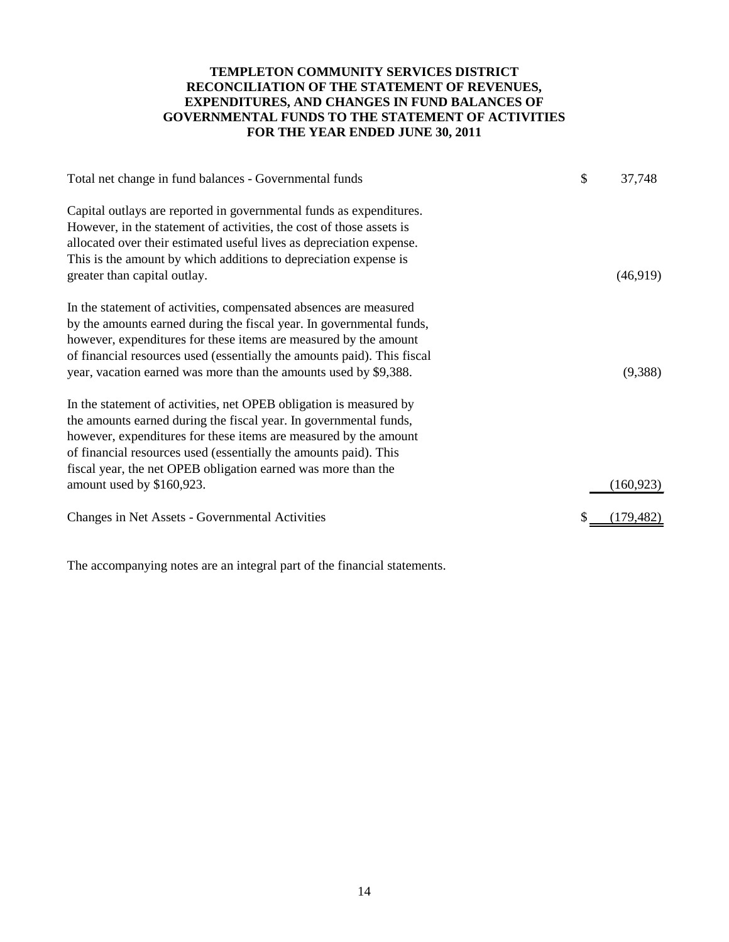# **TEMPLETON COMMUNITY SERVICES DISTRICT RECONCILIATION OF THE STATEMENT OF REVENUES, EXPENDITURES, AND CHANGES IN FUND BALANCES OF GOVERNMENTAL FUNDS TO THE STATEMENT OF ACTIVITIES FOR THE YEAR ENDED JUNE 30, 2011**

| Total net change in fund balances - Governmental funds                                                                                      | \$<br>37,748 |
|---------------------------------------------------------------------------------------------------------------------------------------------|--------------|
| Capital outlays are reported in governmental funds as expenditures.<br>However, in the statement of activities, the cost of those assets is |              |
| allocated over their estimated useful lives as depreciation expense.                                                                        |              |
| This is the amount by which additions to depreciation expense is                                                                            |              |
| greater than capital outlay.                                                                                                                | (46,919)     |
| In the statement of activities, compensated absences are measured                                                                           |              |
| by the amounts earned during the fiscal year. In governmental funds,                                                                        |              |
| however, expenditures for these items are measured by the amount                                                                            |              |
| of financial resources used (essentially the amounts paid). This fiscal                                                                     |              |
| year, vacation earned was more than the amounts used by \$9,388.                                                                            | (9,388)      |
| In the statement of activities, net OPEB obligation is measured by                                                                          |              |
| the amounts earned during the fiscal year. In governmental funds,                                                                           |              |
| however, expenditures for these items are measured by the amount                                                                            |              |
| of financial resources used (essentially the amounts paid). This                                                                            |              |
| fiscal year, the net OPEB obligation earned was more than the                                                                               |              |
| amount used by \$160,923.                                                                                                                   | (160, 923)   |
| Changes in Net Assets - Governmental Activities                                                                                             | (179, 482)   |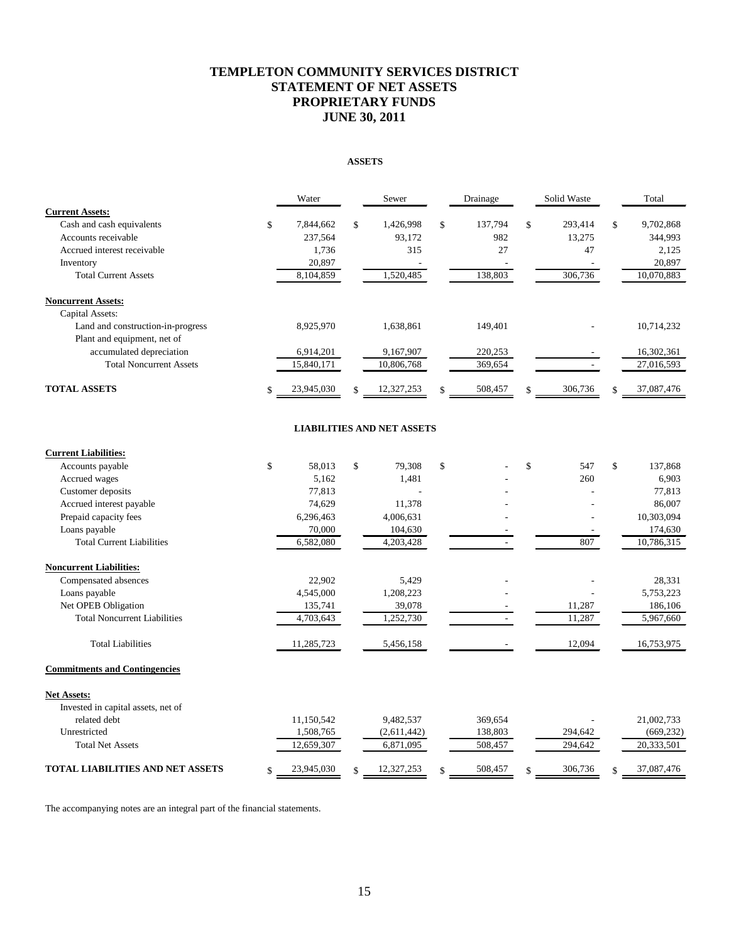# **TEMPLETON COMMUNITY SERVICES DISTRICT STATEMENT OF NET ASSETS PROPRIETARY FUNDS JUNE 30, 2011**

#### **ASSETS**

|                                   | Water           | Sewer            | Drainage      | Solid Waste   |     | Total      |
|-----------------------------------|-----------------|------------------|---------------|---------------|-----|------------|
| <b>Current Assets:</b>            |                 |                  |               |               |     |            |
| Cash and cash equivalents         | \$<br>7,844,662 | \$<br>1,426,998  | \$<br>137,794 | \$<br>293,414 | \$  | 9,702,868  |
| Accounts receivable               | 237,564         | 93,172           | 982           | 13,275        |     | 344,993    |
| Accrued interest receivable       | 1,736           | 315              | 27            | 47            |     | 2,125      |
| Inventory                         | 20,897          |                  |               |               |     | 20,897     |
| <b>Total Current Assets</b>       | 8,104,859       | 1,520,485        | 138,803       | 306,736       |     | 10,070,883 |
| <b>Noncurrent Assets:</b>         |                 |                  |               |               |     |            |
| Capital Assets:                   |                 |                  |               |               |     |            |
| Land and construction-in-progress | 8,925,970       | 1,638,861        | 149,401       |               |     | 10,714,232 |
| Plant and equipment, net of       |                 |                  |               |               |     |            |
| accumulated depreciation          | 6,914,201       | 9,167,907        | 220,253       |               |     | 16,302,361 |
| <b>Total Noncurrent Assets</b>    | 15,840,171      | 10,806,768       | 369,654       |               |     | 27,016,593 |
| <b>TOTAL ASSETS</b>               | 23,945,030      | \$<br>12,327,253 | \$<br>508,457 | 306,736       | \$. | 37,087,476 |
|                                   |                 |                  |               |               |     |            |

#### **LIABILITIES AND NET ASSETS**

| <b>Current Liabilities:</b>             |                  |                  |               |         |               |                  |
|-----------------------------------------|------------------|------------------|---------------|---------|---------------|------------------|
| Accounts payable                        | \$<br>58.013     | \$<br>79,308     | $\mathcal{S}$ |         | \$<br>547     | \$<br>137,868    |
| Accrued wages                           | 5.162            | 1,481            |               |         | 260           | 6,903            |
| Customer deposits                       | 77,813           |                  |               |         |               | 77,813           |
| Accrued interest payable                | 74,629           | 11,378           |               |         |               | 86,007           |
| Prepaid capacity fees                   | 6,296,463        | 4,006,631        |               |         |               | 10,303,094       |
| Loans payable                           | 70,000           | 104,630          |               |         |               | 174,630          |
| <b>Total Current Liabilities</b>        | 6,582,080        | 4,203,428        |               |         | 807           | 10,786,315       |
| <b>Noncurrent Liabilities:</b>          |                  |                  |               |         |               |                  |
| Compensated absences                    | 22,902           | 5,429            |               |         |               | 28,331           |
| Loans payable                           | 4,545,000        | 1,208,223        |               |         |               | 5,753,223        |
| Net OPEB Obligation                     | 135,741          | 39,078           |               |         | 11,287        | 186,106          |
| <b>Total Noncurrent Liabilities</b>     | 4,703,643        | 1,252,730        |               |         | 11,287        | 5,967,660        |
| <b>Total Liabilities</b>                | 11,285,723       | 5,456,158        |               |         | 12,094        | 16,753,975       |
| <b>Commitments and Contingencies</b>    |                  |                  |               |         |               |                  |
| <b>Net Assets:</b>                      |                  |                  |               |         |               |                  |
| Invested in capital assets, net of      |                  |                  |               |         |               |                  |
| related debt                            | 11,150,542       | 9,482,537        |               | 369,654 |               | 21,002,733       |
| Unrestricted                            | 1,508,765        | (2,611,442)      |               | 138,803 | 294,642       | (669, 232)       |
| <b>Total Net Assets</b>                 | 12,659,307       | 6,871,095        |               | 508,457 | 294,642       | 20,333,501       |
| <b>TOTAL LIABILITIES AND NET ASSETS</b> | \$<br>23,945,030 | \$<br>12,327,253 | \$            | 508,457 | \$<br>306,736 | \$<br>37,087,476 |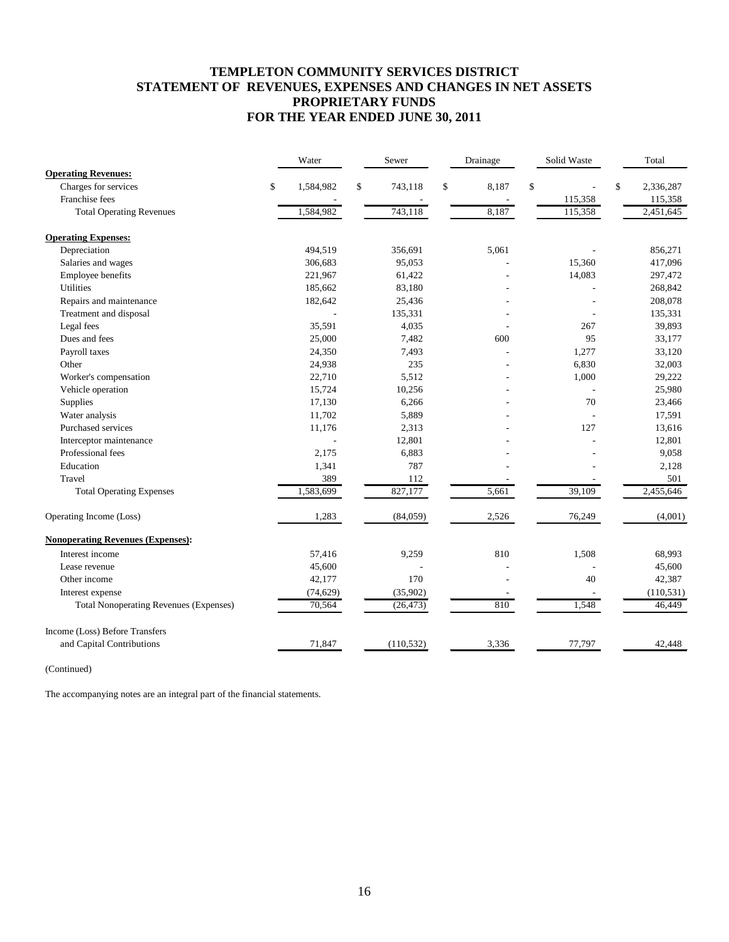# **TEMPLETON COMMUNITY SERVICES DISTRICT STATEMENT OF REVENUES, EXPENSES AND CHANGES IN NET ASSETS PROPRIETARY FUNDS FOR THE YEAR ENDED JUNE 30, 2011**

|                                               | Water     | Sewer         | Drainage    | Solid Waste | Total           |
|-----------------------------------------------|-----------|---------------|-------------|-------------|-----------------|
| <b>Operating Revenues:</b>                    |           |               |             |             |                 |
| Charges for services<br>\$                    | 1,584,982 | \$<br>743,118 | \$<br>8,187 | \$          | \$<br>2,336,287 |
| Franchise fees                                |           |               |             | 115,358     | 115,358         |
| <b>Total Operating Revenues</b>               | 1,584,982 | 743,118       | 8,187       | 115,358     | 2,451,645       |
| <b>Operating Expenses:</b>                    |           |               |             |             |                 |
| Depreciation                                  | 494,519   | 356,691       | 5,061       |             | 856,271         |
| Salaries and wages                            | 306,683   | 95,053        |             | 15,360      | 417,096         |
| Employee benefits                             | 221,967   | 61,422        |             | 14,083      | 297,472         |
| Utilities                                     | 185,662   | 83,180        |             |             | 268,842         |
| Repairs and maintenance                       | 182,642   | 25,436        |             |             | 208,078         |
| Treatment and disposal                        |           | 135,331       |             |             | 135,331         |
| Legal fees                                    | 35,591    | 4,035         |             | 267         | 39,893          |
| Dues and fees                                 | 25,000    | 7,482         | 600         | 95          | 33,177          |
| Payroll taxes                                 | 24,350    | 7,493         |             | 1,277       | 33,120          |
| Other                                         | 24,938    | 235           |             | 6,830       | 32,003          |
| Worker's compensation                         | 22,710    | 5,512         |             | 1,000       | 29,222          |
| Vehicle operation                             | 15,724    | 10,256        |             |             | 25,980          |
| Supplies                                      | 17,130    | 6,266         |             | 70          | 23,466          |
| Water analysis                                | 11,702    | 5,889         |             |             | 17,591          |
| Purchased services                            | 11,176    | 2,313         |             | 127         | 13,616          |
| Interceptor maintenance                       |           | 12,801        |             |             | 12,801          |
| Professional fees                             | 2,175     | 6,883         |             |             | 9,058           |
| Education                                     | 1,341     | 787           |             |             | 2,128           |
| Travel                                        | 389       | 112           |             |             | 501             |
| <b>Total Operating Expenses</b>               | 1,583,699 | 827,177       | 5,661       | 39,109      | 2,455,646       |
| Operating Income (Loss)                       | 1,283     | (84,059)      | 2,526       | 76,249      | (4,001)         |
| <b>Nonoperating Revenues (Expenses):</b>      |           |               |             |             |                 |
| Interest income                               | 57,416    | 9,259         | 810         | 1,508       | 68,993          |
| Lease revenue                                 | 45,600    |               |             |             | 45,600          |
| Other income                                  | 42,177    | 170           |             | 40          | 42,387          |
| Interest expense                              | (74, 629) | (35,902)      |             |             | (110, 531)      |
| <b>Total Nonoperating Revenues (Expenses)</b> | 70,564    | (26, 473)     | 810         | 1,548       | 46,449          |
| Income (Loss) Before Transfers                |           |               |             |             |                 |
| and Capital Contributions                     | 71,847    | (110, 532)    | 3,336       | 77,797      | 42,448          |

(Continued)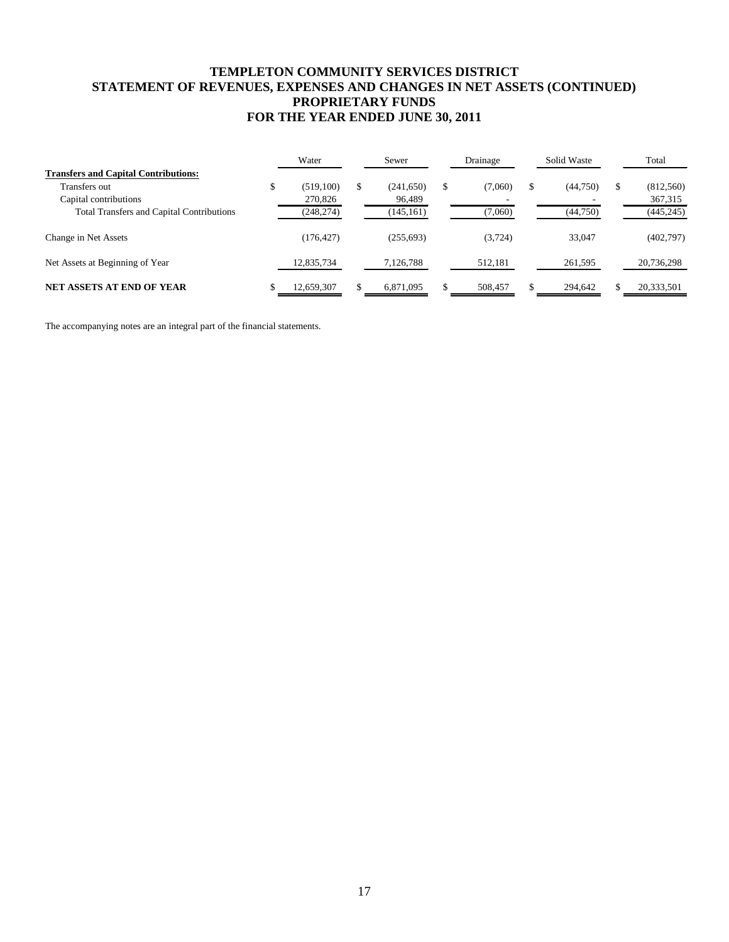# **TEMPLETON COMMUNITY SERVICES DISTRICT STATEMENT OF REVENUES, EXPENSES AND CHANGES IN NET ASSETS (CONTINUED) PROPRIETARY FUNDS FOR THE YEAR ENDED JUNE 30, 2011**

|                                                  |   | Water      |    | Sewer      | Drainage      | Solid Waste    |   | Total      |
|--------------------------------------------------|---|------------|----|------------|---------------|----------------|---|------------|
| <b>Transfers and Capital Contributions:</b>      |   |            |    |            |               |                |   |            |
| Transfers out                                    | D | (519,100)  | \$ | (241, 650) | \$<br>(7,060) | \$<br>(44,750) | S | (812,560)  |
| Capital contributions                            |   | 270,826    |    | 96,489     |               |                |   | 367,315    |
| <b>Total Transfers and Capital Contributions</b> |   | (248, 274) |    | (145, 161) | (7,060)       | (44,750)       |   | (445, 245) |
| Change in Net Assets                             |   | (176, 427) |    | (255, 693) | (3,724)       | 33,047         |   | (402,797)  |
| Net Assets at Beginning of Year                  |   | 12,835,734 |    | 7,126,788  | 512,181       | 261,595        |   | 20,736,298 |
| <b>NET ASSETS AT END OF YEAR</b>                 |   | 12,659,307 | S  | 6,871,095  | 508.457       | 294.642        |   | 20,333,501 |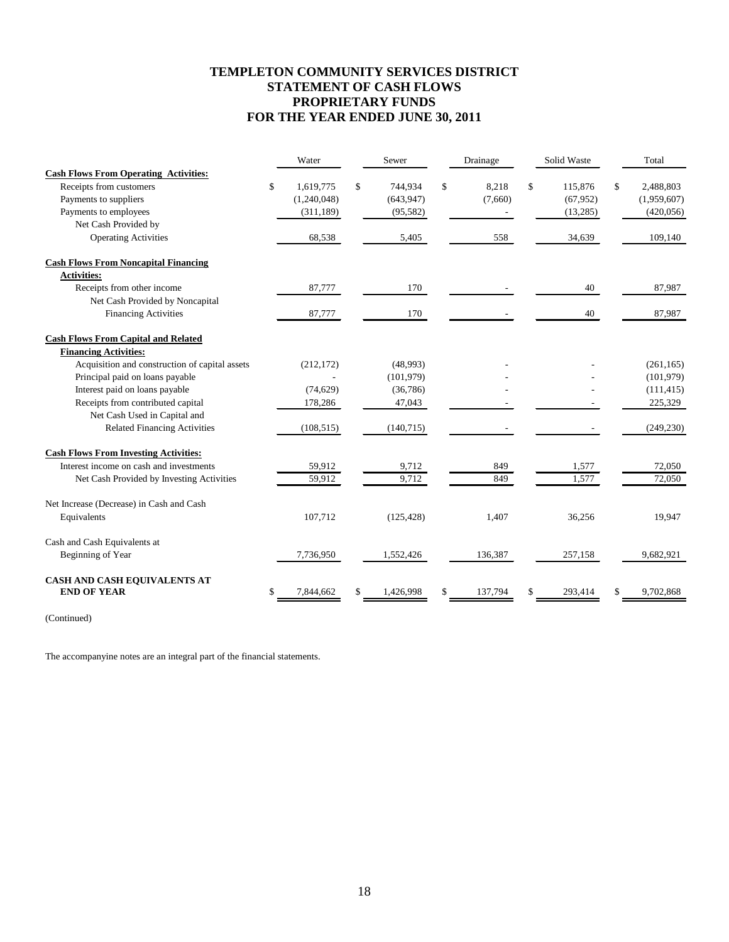# **TEMPLETON COMMUNITY SERVICES DISTRICT STATEMENT OF CASH FLOWS PROPRIETARY FUNDS FOR THE YEAR ENDED JUNE 30, 2011**

|                                                | Water           | Sewer           | Drainage      | Solid Waste   | Total           |
|------------------------------------------------|-----------------|-----------------|---------------|---------------|-----------------|
| <b>Cash Flows From Operating Activities:</b>   |                 |                 |               |               |                 |
| Receipts from customers                        | \$<br>1,619,775 | \$<br>744,934   | \$<br>8,218   | \$<br>115,876 | \$<br>2,488,803 |
| Payments to suppliers                          | (1,240,048)     | (643, 947)      | (7,660)       | (67, 952)     | (1,959,607)     |
| Payments to employees                          | (311, 189)      | (95, 582)       |               | (13,285)      | (420, 056)      |
| Net Cash Provided by                           |                 |                 |               |               |                 |
| <b>Operating Activities</b>                    | 68,538          | 5,405           | 558           | 34,639        | 109,140         |
| <b>Cash Flows From Noncapital Financing</b>    |                 |                 |               |               |                 |
| <b>Activities:</b>                             |                 |                 |               |               |                 |
| Receipts from other income                     | 87,777          | 170             |               | 40            | 87,987          |
| Net Cash Provided by Noncapital                |                 |                 |               |               |                 |
| <b>Financing Activities</b>                    | 87,777          | 170             |               | 40            | 87,987          |
| <b>Cash Flows From Capital and Related</b>     |                 |                 |               |               |                 |
| <b>Financing Activities:</b>                   |                 |                 |               |               |                 |
| Acquisition and construction of capital assets | (212, 172)      | (48,993)        |               |               | (261, 165)      |
| Principal paid on loans payable                |                 | (101, 979)      |               |               | (101, 979)      |
| Interest paid on loans payable                 | (74, 629)       | (36, 786)       |               |               | (111, 415)      |
| Receipts from contributed capital              | 178,286         | 47,043          |               |               | 225,329         |
| Net Cash Used in Capital and                   |                 |                 |               |               |                 |
| <b>Related Financing Activities</b>            | (108, 515)      | (140, 715)      |               |               | (249, 230)      |
| <b>Cash Flows From Investing Activities:</b>   |                 |                 |               |               |                 |
| Interest income on cash and investments        | 59,912          | 9,712           | 849           | 1,577         | 72,050          |
| Net Cash Provided by Investing Activities      | 59,912          | 9,712           | 849           | 1,577         | 72,050          |
| Net Increase (Decrease) in Cash and Cash       |                 |                 |               |               |                 |
| Equivalents                                    | 107,712         | (125, 428)      | 1,407         | 36,256        | 19,947          |
| Cash and Cash Equivalents at                   |                 |                 |               |               |                 |
| Beginning of Year                              | 7,736,950       | 1,552,426       | 136,387       | 257,158       | 9,682,921       |
| CASH AND CASH EQUIVALENTS AT                   |                 |                 |               |               |                 |
| <b>END OF YEAR</b>                             | \$<br>7,844,662 | \$<br>1,426,998 | \$<br>137,794 | 293,414       | 9,702,868       |

(Continued)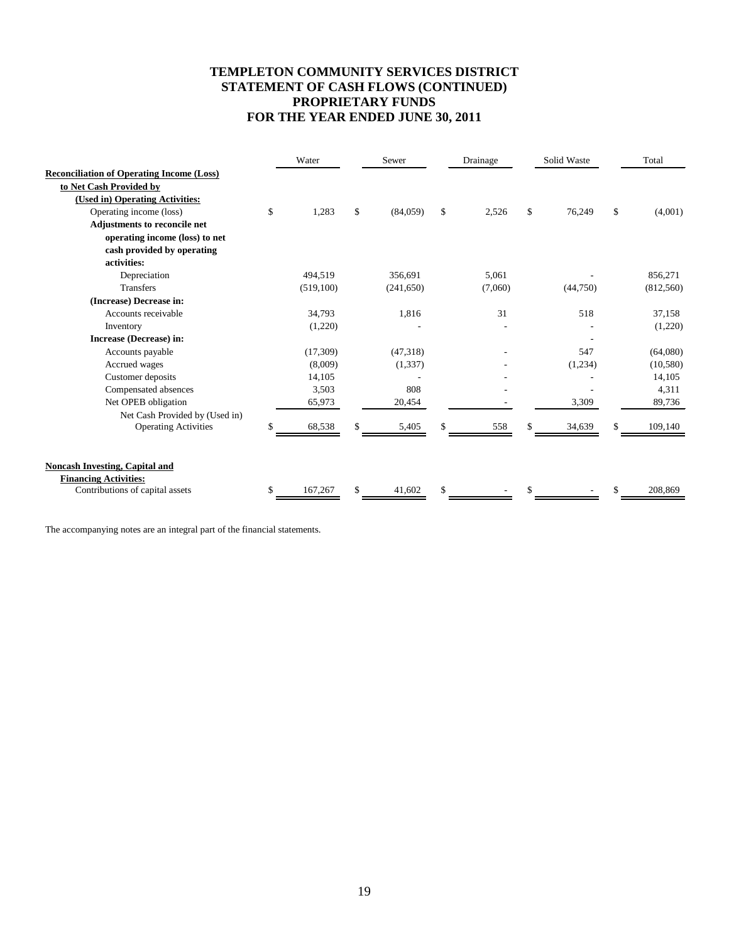# **TEMPLETON COMMUNITY SERVICES DISTRICT STATEMENT OF CASH FLOWS (CONTINUED) PROPRIETARY FUNDS FOR THE YEAR ENDED JUNE 30, 2011**

|                                                  | Water         | Sewer          | Drainage    | Solid Waste  |              | Total     |
|--------------------------------------------------|---------------|----------------|-------------|--------------|--------------|-----------|
| <b>Reconciliation of Operating Income (Loss)</b> |               |                |             |              |              |           |
| to Net Cash Provided by                          |               |                |             |              |              |           |
| (Used in) Operating Activities:                  |               |                |             |              |              |           |
| Operating income (loss)                          | \$<br>1,283   | \$<br>(84,059) | \$<br>2,526 | \$<br>76,249 | $\mathbb{S}$ | (4,001)   |
| <b>Adjustments to reconcile net</b>              |               |                |             |              |              |           |
| operating income (loss) to net                   |               |                |             |              |              |           |
| cash provided by operating                       |               |                |             |              |              |           |
| activities:                                      |               |                |             |              |              |           |
| Depreciation                                     | 494,519       | 356,691        | 5,061       |              |              | 856,271   |
| <b>Transfers</b>                                 | (519,100)     | (241, 650)     | (7,060)     | (44,750)     |              | (812,560) |
| (Increase) Decrease in:                          |               |                |             |              |              |           |
| Accounts receivable                              | 34,793        | 1,816          | 31          | 518          |              | 37,158    |
| Inventory                                        | (1,220)       |                |             |              |              | (1,220)   |
| Increase (Decrease) in:                          |               |                |             |              |              |           |
| Accounts payable                                 | (17, 309)     | (47,318)       |             | 547          |              | (64,080)  |
| Accrued wages                                    | (8,009)       | (1,337)        |             | (1,234)      |              | (10, 580) |
| Customer deposits                                | 14,105        |                |             |              |              | 14,105    |
| Compensated absences                             | 3,503         | 808            |             |              |              | 4,311     |
| Net OPEB obligation                              | 65,973        | 20,454         |             | 3,309        |              | 89,736    |
| Net Cash Provided by (Used in)                   |               |                |             |              |              |           |
| <b>Operating Activities</b>                      | \$<br>68,538  | \$<br>5,405    | 558         | 34,639       |              | 109,140   |
| <b>Noncash Investing, Capital and</b>            |               |                |             |              |              |           |
| <b>Financing Activities:</b>                     |               |                |             |              |              |           |
| Contributions of capital assets                  | \$<br>167,267 | \$<br>41,602   | \$          |              |              | 208,869   |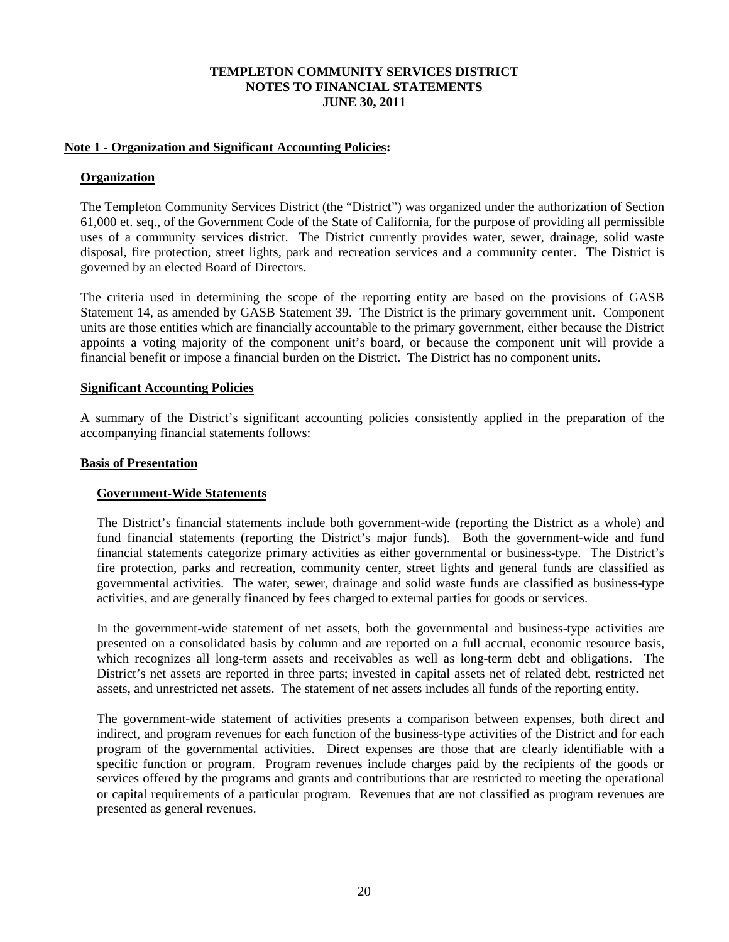## **Note 1 - Organization and Significant Accounting Policies:**

# **Organization**

The Templeton Community Services District (the "District") was organized under the authorization of Section 61,000 et. seq., of the Government Code of the State of California, for the purpose of providing all permissible uses of a community services district. The District currently provides water, sewer, drainage, solid waste disposal, fire protection, street lights, park and recreation services and a community center. The District is governed by an elected Board of Directors.

The criteria used in determining the scope of the reporting entity are based on the provisions of GASB Statement 14, as amended by GASB Statement 39. The District is the primary government unit. Component units are those entities which are financially accountable to the primary government, either because the District appoints a voting majority of the component unit's board, or because the component unit will provide a financial benefit or impose a financial burden on the District. The District has no component units.

## **Significant Accounting Policies**

A summary of the District's significant accounting policies consistently applied in the preparation of the accompanying financial statements follows:

## **Basis of Presentation**

# **Government-Wide Statements**

The District's financial statements include both government-wide (reporting the District as a whole) and fund financial statements (reporting the District's major funds). Both the government-wide and fund financial statements categorize primary activities as either governmental or business-type. The District's fire protection, parks and recreation, community center, street lights and general funds are classified as governmental activities. The water, sewer, drainage and solid waste funds are classified as business-type activities, and are generally financed by fees charged to external parties for goods or services.

In the government-wide statement of net assets, both the governmental and business-type activities are presented on a consolidated basis by column and are reported on a full accrual, economic resource basis, which recognizes all long-term assets and receivables as well as long-term debt and obligations. The District's net assets are reported in three parts; invested in capital assets net of related debt, restricted net assets, and unrestricted net assets. The statement of net assets includes all funds of the reporting entity.

The government-wide statement of activities presents a comparison between expenses, both direct and indirect, and program revenues for each function of the business-type activities of the District and for each program of the governmental activities. Direct expenses are those that are clearly identifiable with a specific function or program. Program revenues include charges paid by the recipients of the goods or services offered by the programs and grants and contributions that are restricted to meeting the operational or capital requirements of a particular program. Revenues that are not classified as program revenues are presented as general revenues.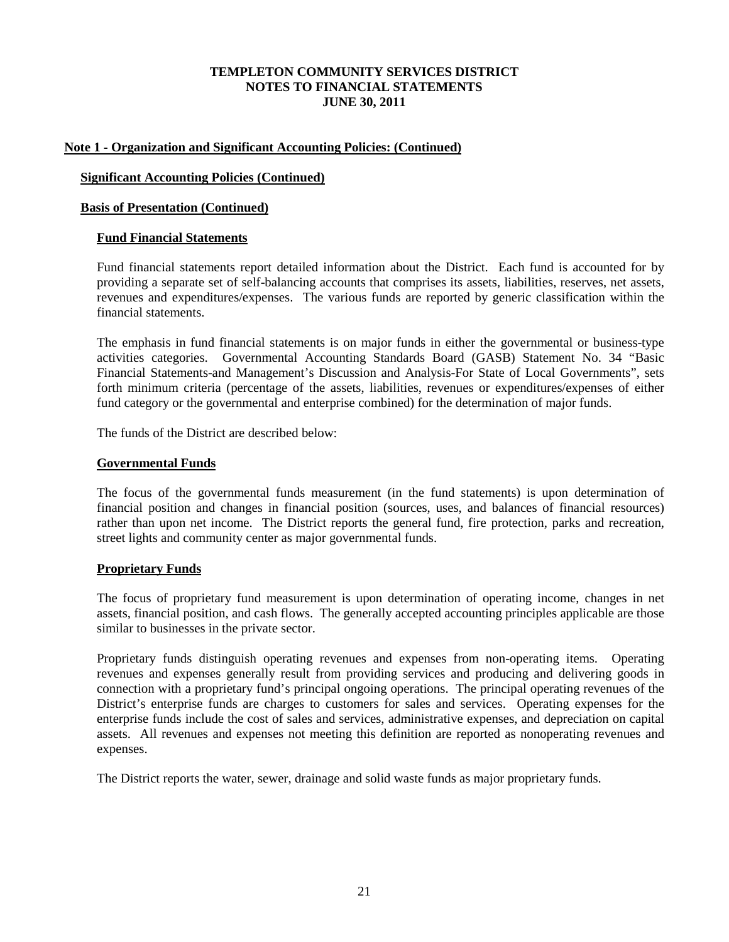# **Note 1 - Organization and Significant Accounting Policies: (Continued)**

## **Significant Accounting Policies (Continued)**

### **Basis of Presentation (Continued)**

### **Fund Financial Statements**

Fund financial statements report detailed information about the District. Each fund is accounted for by providing a separate set of self-balancing accounts that comprises its assets, liabilities, reserves, net assets, revenues and expenditures/expenses. The various funds are reported by generic classification within the financial statements.

The emphasis in fund financial statements is on major funds in either the governmental or business-type activities categories. Governmental Accounting Standards Board (GASB) Statement No. 34 "Basic Financial Statements-and Management's Discussion and Analysis-For State of Local Governments", sets forth minimum criteria (percentage of the assets, liabilities, revenues or expenditures/expenses of either fund category or the governmental and enterprise combined) for the determination of major funds.

The funds of the District are described below:

#### **Governmental Funds**

The focus of the governmental funds measurement (in the fund statements) is upon determination of financial position and changes in financial position (sources, uses, and balances of financial resources) rather than upon net income. The District reports the general fund, fire protection, parks and recreation, street lights and community center as major governmental funds.

# **Proprietary Funds**

The focus of proprietary fund measurement is upon determination of operating income, changes in net assets, financial position, and cash flows. The generally accepted accounting principles applicable are those similar to businesses in the private sector.

Proprietary funds distinguish operating revenues and expenses from non-operating items. Operating revenues and expenses generally result from providing services and producing and delivering goods in connection with a proprietary fund's principal ongoing operations. The principal operating revenues of the District's enterprise funds are charges to customers for sales and services. Operating expenses for the enterprise funds include the cost of sales and services, administrative expenses, and depreciation on capital assets. All revenues and expenses not meeting this definition are reported as nonoperating revenues and expenses.

The District reports the water, sewer, drainage and solid waste funds as major proprietary funds.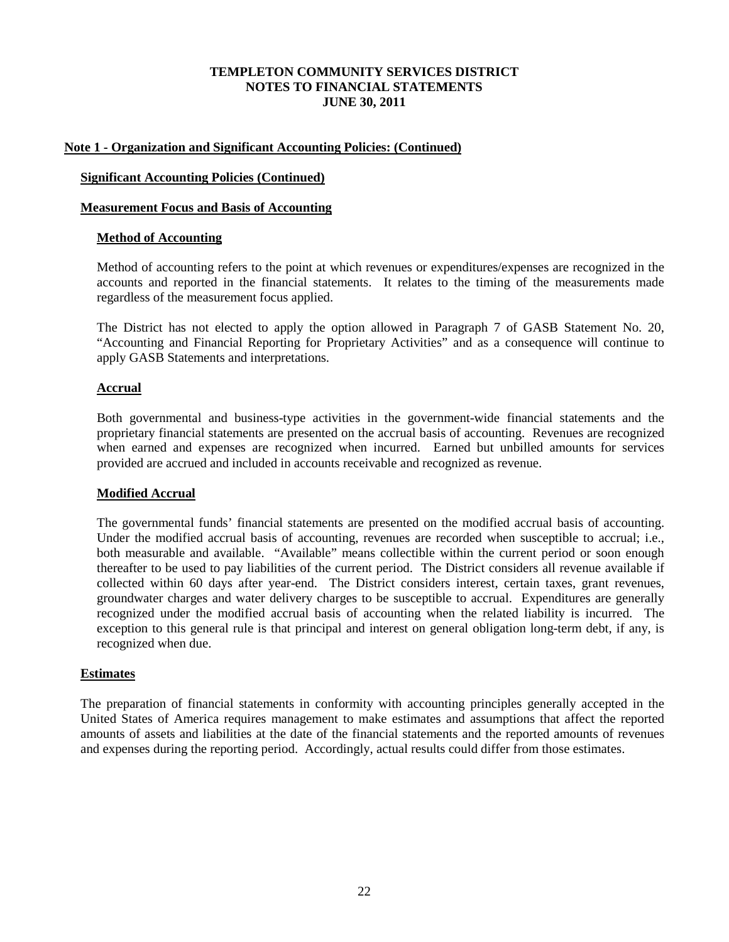# **Note 1 - Organization and Significant Accounting Policies: (Continued)**

## **Significant Accounting Policies (Continued)**

## **Measurement Focus and Basis of Accounting**

## **Method of Accounting**

Method of accounting refers to the point at which revenues or expenditures/expenses are recognized in the accounts and reported in the financial statements. It relates to the timing of the measurements made regardless of the measurement focus applied.

The District has not elected to apply the option allowed in Paragraph 7 of GASB Statement No. 20, "Accounting and Financial Reporting for Proprietary Activities" and as a consequence will continue to apply GASB Statements and interpretations.

## **Accrual**

Both governmental and business-type activities in the government-wide financial statements and the proprietary financial statements are presented on the accrual basis of accounting. Revenues are recognized when earned and expenses are recognized when incurred. Earned but unbilled amounts for services provided are accrued and included in accounts receivable and recognized as revenue.

## **Modified Accrual**

The governmental funds' financial statements are presented on the modified accrual basis of accounting. Under the modified accrual basis of accounting, revenues are recorded when susceptible to accrual; i.e., both measurable and available. "Available" means collectible within the current period or soon enough thereafter to be used to pay liabilities of the current period. The District considers all revenue available if collected within 60 days after year-end. The District considers interest, certain taxes, grant revenues, groundwater charges and water delivery charges to be susceptible to accrual. Expenditures are generally recognized under the modified accrual basis of accounting when the related liability is incurred. The exception to this general rule is that principal and interest on general obligation long-term debt, if any, is recognized when due.

## **Estimates**

The preparation of financial statements in conformity with accounting principles generally accepted in the United States of America requires management to make estimates and assumptions that affect the reported amounts of assets and liabilities at the date of the financial statements and the reported amounts of revenues and expenses during the reporting period. Accordingly, actual results could differ from those estimates.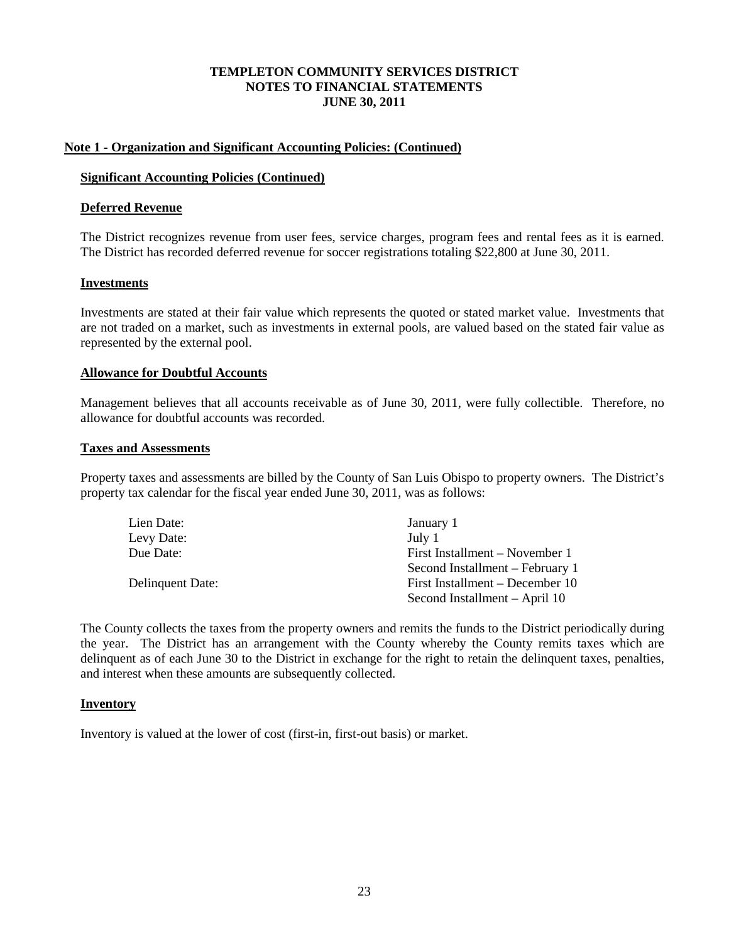## **Note 1 - Organization and Significant Accounting Policies: (Continued)**

#### **Significant Accounting Policies (Continued)**

#### **Deferred Revenue**

The District recognizes revenue from user fees, service charges, program fees and rental fees as it is earned. The District has recorded deferred revenue for soccer registrations totaling \$22,800 at June 30, 2011.

#### **Investments**

Investments are stated at their fair value which represents the quoted or stated market value. Investments that are not traded on a market, such as investments in external pools, are valued based on the stated fair value as represented by the external pool.

#### **Allowance for Doubtful Accounts**

Management believes that all accounts receivable as of June 30, 2011, were fully collectible. Therefore, no allowance for doubtful accounts was recorded.

### **Taxes and Assessments**

Property taxes and assessments are billed by the County of San Luis Obispo to property owners. The District's property tax calendar for the fiscal year ended June 30, 2011, was as follows:

| Lien Date:       | January 1                       |
|------------------|---------------------------------|
| Levy Date:       | July 1                          |
| Due Date:        | First Installment – November 1  |
|                  | Second Installment – February 1 |
| Delinquent Date: | First Installment – December 10 |
|                  | Second Installment – April 10   |

The County collects the taxes from the property owners and remits the funds to the District periodically during the year. The District has an arrangement with the County whereby the County remits taxes which are delinquent as of each June 30 to the District in exchange for the right to retain the delinquent taxes, penalties, and interest when these amounts are subsequently collected.

#### **Inventory**

Inventory is valued at the lower of cost (first-in, first-out basis) or market.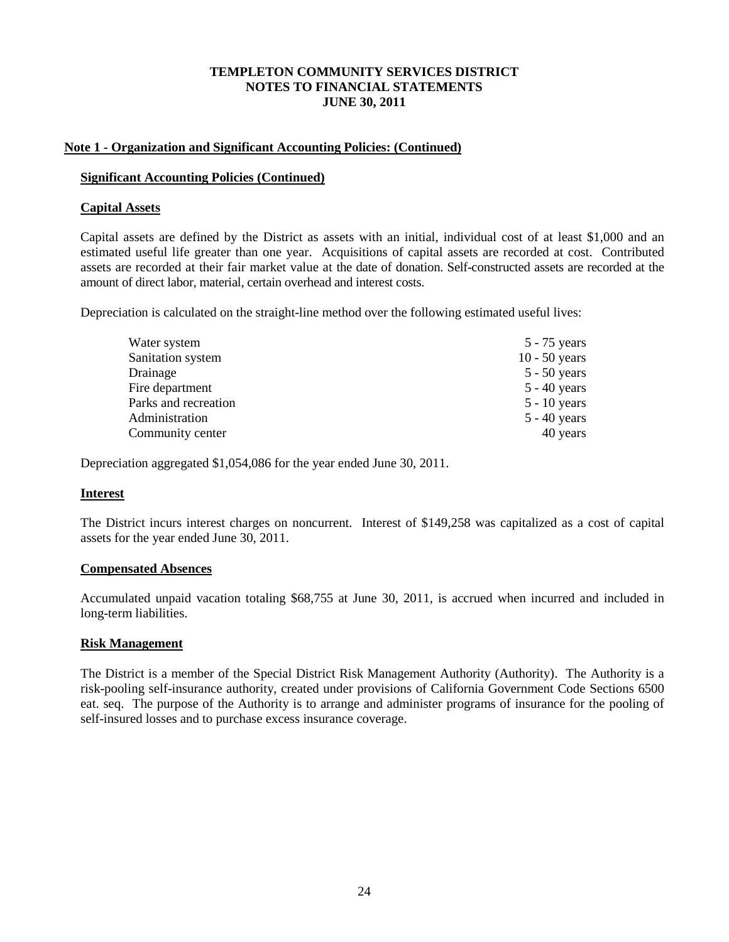# **Note 1 - Organization and Significant Accounting Policies: (Continued)**

## **Significant Accounting Policies (Continued)**

# **Capital Assets**

Capital assets are defined by the District as assets with an initial, individual cost of at least \$1,000 and an estimated useful life greater than one year. Acquisitions of capital assets are recorded at cost. Contributed assets are recorded at their fair market value at the date of donation. Self-constructed assets are recorded at the amount of direct labor, material, certain overhead and interest costs.

Depreciation is calculated on the straight-line method over the following estimated useful lives:

| Water system         | $5 - 75$ years  |
|----------------------|-----------------|
| Sanitation system    | $10 - 50$ years |
| Drainage             | $5 - 50$ years  |
| Fire department      | $5 - 40$ years  |
| Parks and recreation | $5 - 10$ years  |
| Administration       | $5 - 40$ years  |
| Community center     | 40 years        |

Depreciation aggregated \$1,054,086 for the year ended June 30, 2011.

# **Interest**

The District incurs interest charges on noncurrent. Interest of \$149,258 was capitalized as a cost of capital assets for the year ended June 30, 2011.

# **Compensated Absences**

Accumulated unpaid vacation totaling \$68,755 at June 30, 2011, is accrued when incurred and included in long-term liabilities.

## **Risk Management**

The District is a member of the Special District Risk Management Authority (Authority). The Authority is a risk-pooling self-insurance authority, created under provisions of California Government Code Sections 6500 eat. seq. The purpose of the Authority is to arrange and administer programs of insurance for the pooling of self-insured losses and to purchase excess insurance coverage.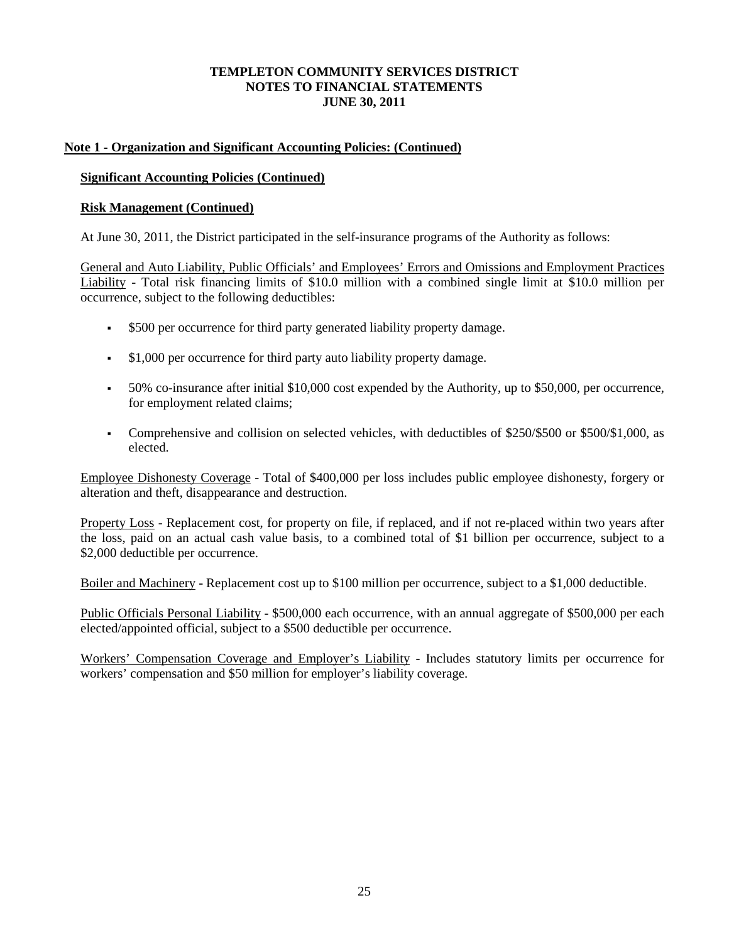# **Note 1 - Organization and Significant Accounting Policies: (Continued)**

# **Significant Accounting Policies (Continued)**

# **Risk Management (Continued)**

At June 30, 2011, the District participated in the self-insurance programs of the Authority as follows:

General and Auto Liability, Public Officials' and Employees' Errors and Omissions and Employment Practices Liability - Total risk financing limits of \$10.0 million with a combined single limit at \$10.0 million per occurrence, subject to the following deductibles:

- \$500 per occurrence for third party generated liability property damage.
- $\bullet$  \$1,000 per occurrence for third party auto liability property damage.
- 50% co-insurance after initial \$10,000 cost expended by the Authority, up to \$50,000, per occurrence, for employment related claims;
- Comprehensive and collision on selected vehicles, with deductibles of \$250/\$500 or \$500/\$1,000, as elected.

Employee Dishonesty Coverage - Total of \$400,000 per loss includes public employee dishonesty, forgery or alteration and theft, disappearance and destruction.

Property Loss - Replacement cost, for property on file, if replaced, and if not re-placed within two years after the loss, paid on an actual cash value basis, to a combined total of \$1 billion per occurrence, subject to a \$2,000 deductible per occurrence.

Boiler and Machinery - Replacement cost up to \$100 million per occurrence, subject to a \$1,000 deductible.

Public Officials Personal Liability - \$500,000 each occurrence, with an annual aggregate of \$500,000 per each elected/appointed official, subject to a \$500 deductible per occurrence.

Workers' Compensation Coverage and Employer's Liability - Includes statutory limits per occurrence for workers' compensation and \$50 million for employer's liability coverage.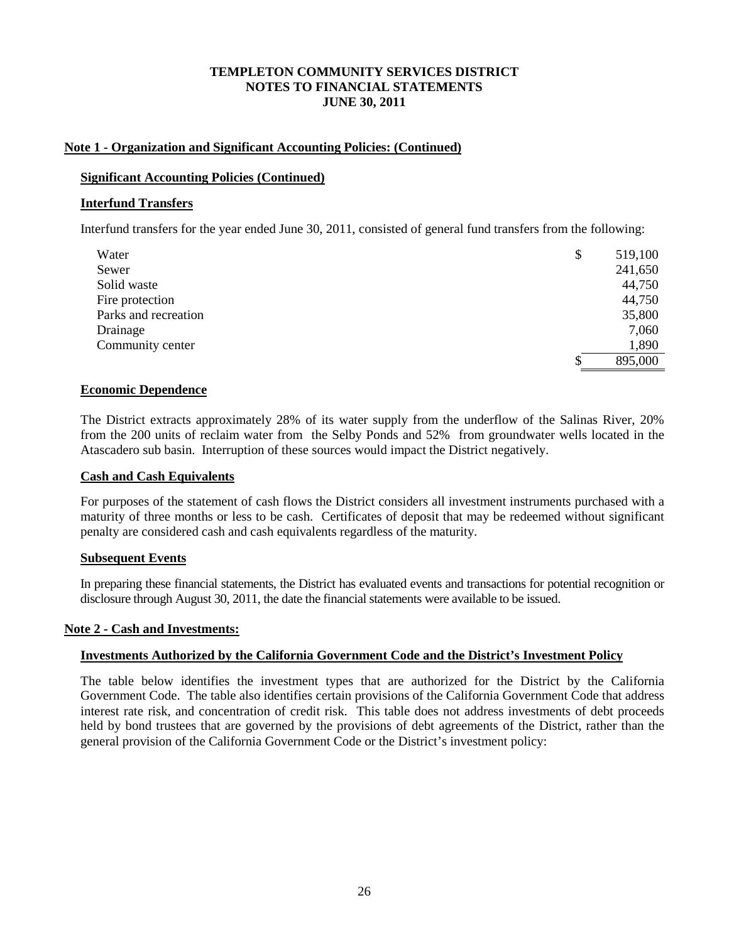### **Note 1 - Organization and Significant Accounting Policies: (Continued)**

#### **Significant Accounting Policies (Continued)**

#### **Interfund Transfers**

Interfund transfers for the year ended June 30, 2011, consisted of general fund transfers from the following:

| Water                | \$<br>519,100 |
|----------------------|---------------|
| Sewer                | 241,650       |
| Solid waste          | 44,750        |
| Fire protection      | 44,750        |
| Parks and recreation | 35,800        |
| Drainage             | 7,060         |
| Community center     | 1,890         |
|                      | \$<br>895,000 |

#### **Economic Dependence**

The District extracts approximately 28% of its water supply from the underflow of the Salinas River, 20% from the 200 units of reclaim water from the Selby Ponds and 52% from groundwater wells located in the Atascadero sub basin. Interruption of these sources would impact the District negatively.

#### **Cash and Cash Equivalents**

For purposes of the statement of cash flows the District considers all investment instruments purchased with a maturity of three months or less to be cash. Certificates of deposit that may be redeemed without significant penalty are considered cash and cash equivalents regardless of the maturity.

#### **Subsequent Events**

In preparing these financial statements, the District has evaluated events and transactions for potential recognition or disclosure through August 30, 2011, the date the financial statements were available to be issued.

#### **Note 2 - Cash and Investments:**

## **Investments Authorized by the California Government Code and the District's Investment Policy**

The table below identifies the investment types that are authorized for the District by the California Government Code. The table also identifies certain provisions of the California Government Code that address interest rate risk, and concentration of credit risk. This table does not address investments of debt proceeds held by bond trustees that are governed by the provisions of debt agreements of the District, rather than the general provision of the California Government Code or the District's investment policy: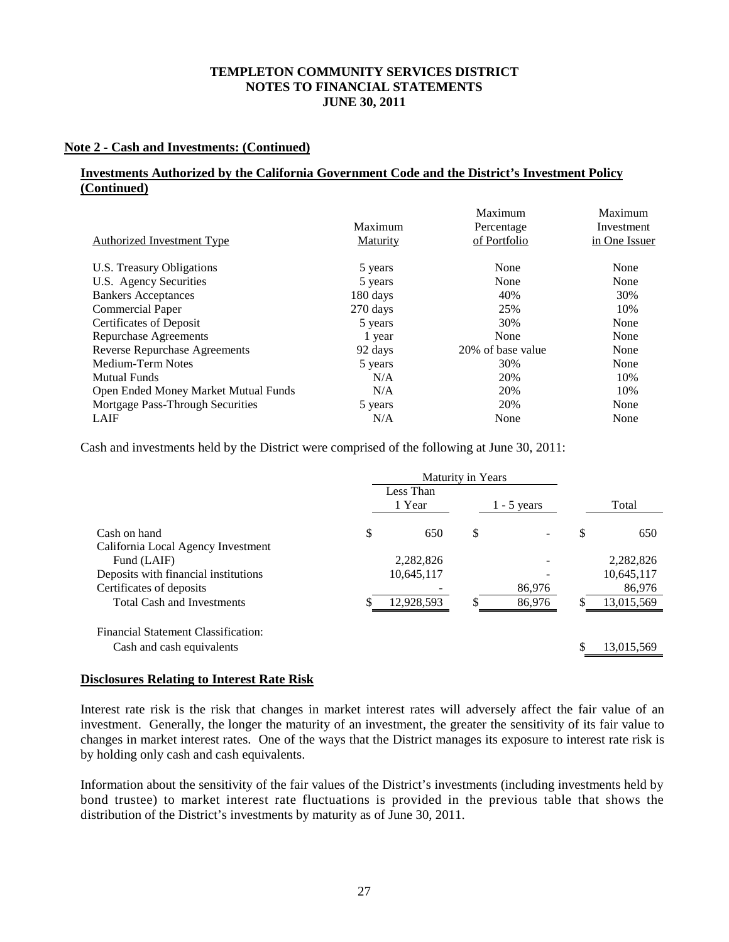# **Note 2 - Cash and Investments: (Continued)**

# **Investments Authorized by the California Government Code and the District's Investment Policy (Continued)**

|                                      |          | Maximum           | Maximum       |
|--------------------------------------|----------|-------------------|---------------|
|                                      | Maximum  | Percentage        | Investment    |
| Authorized Investment Type           | Maturity | of Portfolio      | in One Issuer |
| U.S. Treasury Obligations            | 5 years  | None              | None          |
| U.S. Agency Securities               | 5 years  | None              | None          |
| <b>Bankers Acceptances</b>           | 180 days | 40%               | 30%           |
| <b>Commercial Paper</b>              | 270 days | 25%               | 10%           |
| Certificates of Deposit              | 5 years  | 30%               | None          |
| Repurchase Agreements                | 1 year   | None              | None          |
| Reverse Repurchase Agreements        | 92 days  | 20% of base value | None          |
| Medium-Term Notes                    | 5 years  | 30%               | None          |
| <b>Mutual Funds</b>                  | N/A      | 20%               | 10%           |
| Open Ended Money Market Mutual Funds | N/A      | 20%               | 10%           |
| Mortgage Pass-Through Securities     | 5 years  | 20%               | None          |
| LAIF                                 | N/A      | None              | None          |

Cash and investments held by the District were comprised of the following at June 30, 2011:

|                                            |    | Less Than<br>1 Year | $1 - 5$ years |     | Total      |
|--------------------------------------------|----|---------------------|---------------|-----|------------|
| Cash on hand                               | \$ | 650                 | \$            | \$  | 650        |
| California Local Agency Investment         |    |                     |               |     |            |
| Fund (LAIF)                                |    | 2,282,826           |               |     | 2,282,826  |
| Deposits with financial institutions       |    | 10,645,117          |               |     | 10,645,117 |
| Certificates of deposits                   |    |                     | 86,976        |     | 86,976     |
| <b>Total Cash and Investments</b>          |    | 12,928,593          | 86,976        | JЭ. | 13,015,569 |
| <b>Financial Statement Classification:</b> |    |                     |               |     |            |
| Cash and cash equivalents                  |    |                     |               |     | 13,015,569 |

#### **Disclosures Relating to Interest Rate Risk**

Interest rate risk is the risk that changes in market interest rates will adversely affect the fair value of an investment. Generally, the longer the maturity of an investment, the greater the sensitivity of its fair value to changes in market interest rates. One of the ways that the District manages its exposure to interest rate risk is by holding only cash and cash equivalents.

Information about the sensitivity of the fair values of the District's investments (including investments held by bond trustee) to market interest rate fluctuations is provided in the previous table that shows the distribution of the District's investments by maturity as of June 30, 2011.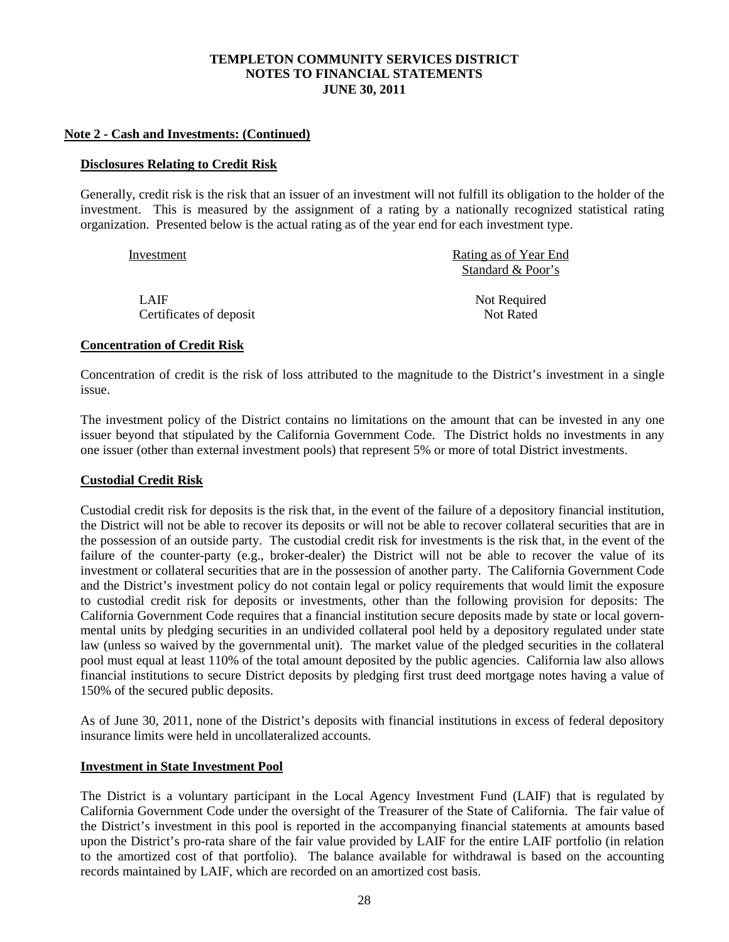### **Note 2 - Cash and Investments: (Continued)**

#### **Disclosures Relating to Credit Risk**

Generally, credit risk is the risk that an issuer of an investment will not fulfill its obligation to the holder of the investment. This is measured by the assignment of a rating by a nationally recognized statistical rating organization. Presented below is the actual rating as of the year end for each investment type.

| Investment              | Rating as of Year End |
|-------------------------|-----------------------|
|                         | Standard & Poor's     |
| LAIF                    | Not Required          |
| Certificates of deposit | Not Rated             |

#### **Concentration of Credit Risk**

Concentration of credit is the risk of loss attributed to the magnitude to the District's investment in a single issue.

The investment policy of the District contains no limitations on the amount that can be invested in any one issuer beyond that stipulated by the California Government Code. The District holds no investments in any one issuer (other than external investment pools) that represent 5% or more of total District investments.

## **Custodial Credit Risk**

Custodial credit risk for deposits is the risk that, in the event of the failure of a depository financial institution, the District will not be able to recover its deposits or will not be able to recover collateral securities that are in the possession of an outside party. The custodial credit risk for investments is the risk that, in the event of the failure of the counter-party (e.g., broker-dealer) the District will not be able to recover the value of its investment or collateral securities that are in the possession of another party. The California Government Code and the District's investment policy do not contain legal or policy requirements that would limit the exposure to custodial credit risk for deposits or investments, other than the following provision for deposits: The California Government Code requires that a financial institution secure deposits made by state or local governmental units by pledging securities in an undivided collateral pool held by a depository regulated under state law (unless so waived by the governmental unit). The market value of the pledged securities in the collateral pool must equal at least 110% of the total amount deposited by the public agencies. California law also allows financial institutions to secure District deposits by pledging first trust deed mortgage notes having a value of 150% of the secured public deposits.

As of June 30, 2011, none of the District's deposits with financial institutions in excess of federal depository insurance limits were held in uncollateralized accounts.

## **Investment in State Investment Pool**

The District is a voluntary participant in the Local Agency Investment Fund (LAIF) that is regulated by California Government Code under the oversight of the Treasurer of the State of California. The fair value of the District's investment in this pool is reported in the accompanying financial statements at amounts based upon the District's pro-rata share of the fair value provided by LAIF for the entire LAIF portfolio (in relation to the amortized cost of that portfolio). The balance available for withdrawal is based on the accounting records maintained by LAIF, which are recorded on an amortized cost basis.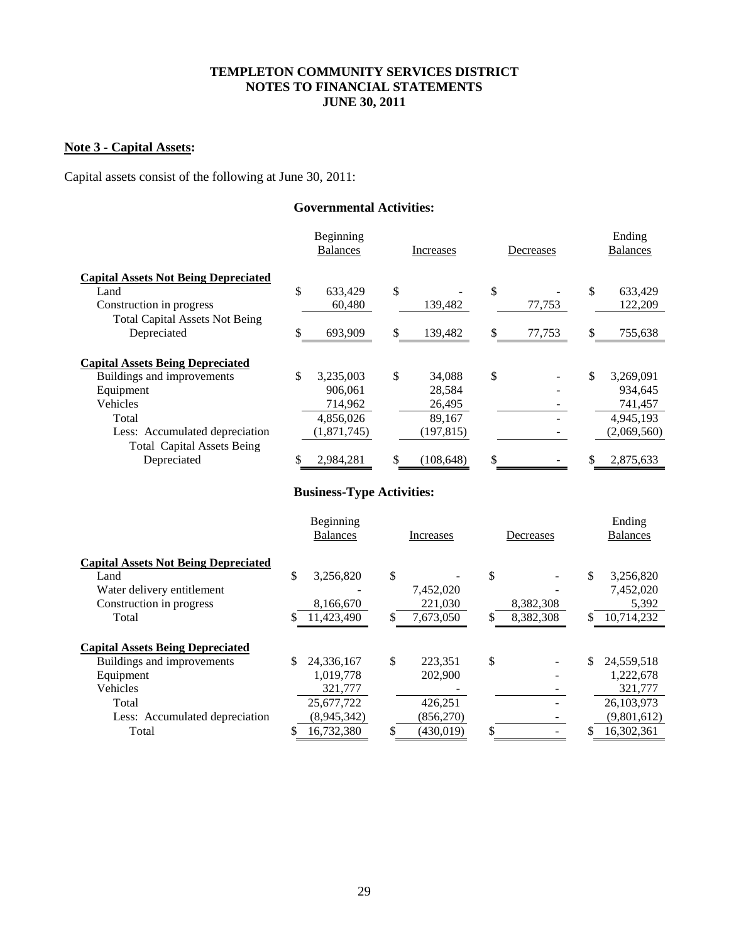# **Note 3 - Capital Assets:**

Capital assets consist of the following at June 30, 2011:

# **Governmental Activities:**

|                                             | Beginning<br><b>Balances</b> | Increases       |    | Decreases | Ending<br><b>Balances</b> |
|---------------------------------------------|------------------------------|-----------------|----|-----------|---------------------------|
| <b>Capital Assets Not Being Depreciated</b> |                              |                 |    |           |                           |
| Land                                        | \$<br>633,429                | \$              | \$ |           | \$<br>633,429             |
| Construction in progress                    | 60,480                       | 139,482         |    | 77,753    | 122,209                   |
| <b>Total Capital Assets Not Being</b>       |                              |                 |    |           |                           |
| Depreciated                                 | \$<br>693,909                | \$<br>139,482   | S  | 77,753    | \$<br>755,638             |
| <b>Capital Assets Being Depreciated</b>     |                              |                 |    |           |                           |
| Buildings and improvements                  | \$<br>3,235,003              | \$<br>34,088    | \$ |           | \$<br>3,269,091           |
| Equipment                                   | 906.061                      | 28.584          |    |           | 934.645                   |
| Vehicles                                    | 714,962                      | 26,495          |    |           | 741,457                   |
| Total                                       | 4,856,026                    | 89.167          |    |           | 4,945,193                 |
| Less: Accumulated depreciation              | (1,871,745)                  | (197, 815)      |    |           | (2,069,560)               |
| <b>Total Capital Assets Being</b>           |                              |                 |    |           |                           |
| Depreciated                                 | \$<br>2.984.281              | \$<br>(108.648) | \$ |           | 2,875,633                 |

# **Business-Type Activities:**

|                                             | Beginning<br><b>Balances</b> | Increases     | Decreases       |     | Ending<br><b>Balances</b> |
|---------------------------------------------|------------------------------|---------------|-----------------|-----|---------------------------|
| <b>Capital Assets Not Being Depreciated</b> |                              |               |                 |     |                           |
| Land                                        | \$<br>3,256,820              | \$            | \$              | \$  | 3,256,820                 |
| Water delivery entitlement                  |                              | 7,452,020     |                 |     | 7,452,020                 |
| Construction in progress                    | 8,166,670                    | 221,030       | 8,382,308       |     | 5,392                     |
| Total                                       | 11,423,490                   | 7,673,050     | \$<br>8,382,308 |     | 10,714,232                |
| <b>Capital Assets Being Depreciated</b>     |                              |               |                 |     |                           |
| Buildings and improvements                  | \$<br>24,336,167             | \$<br>223,351 | \$              | \$. | 24,559,518                |
| Equipment                                   | 1,019,778                    | 202,900       |                 |     | 1,222,678                 |
| Vehicles                                    | 321,777                      |               |                 |     | 321,777                   |
| Total                                       | 25,677,722                   | 426,251       |                 |     | 26,103,973                |
| Less: Accumulated depreciation              | (8,945,342)                  | (856,270)     |                 |     | (9,801,612)               |
| Total                                       | 16,732,380                   | (430.019)     | \$              |     | 16.302.361                |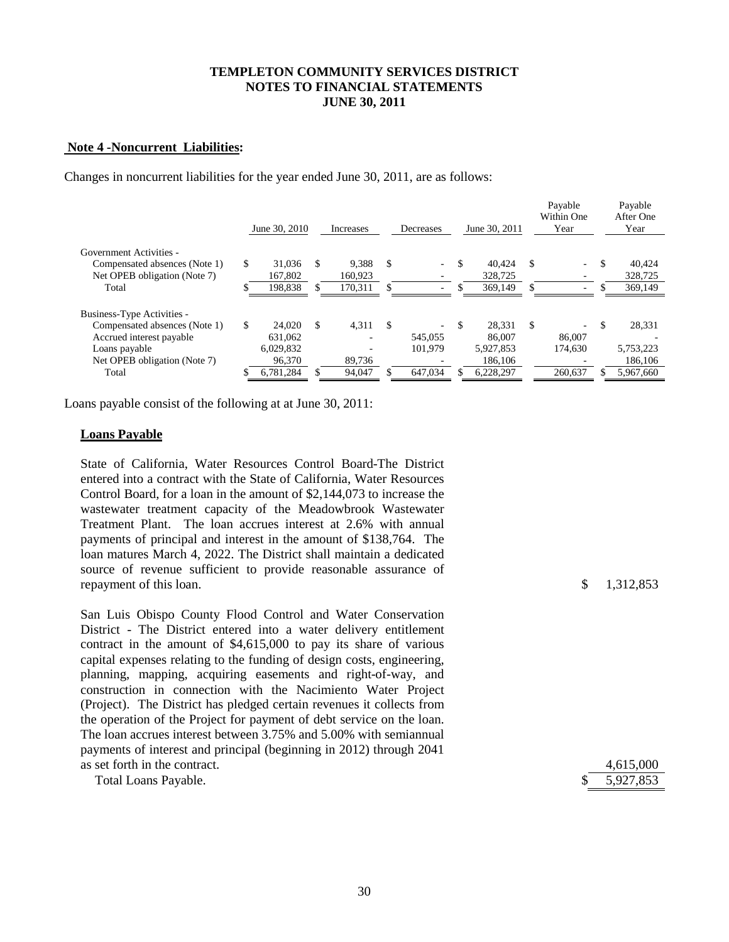#### **Note 4 -Noncurrent Liabilities:**

Changes in noncurrent liabilities for the year ended June 30, 2011, are as follows:

|                               |    | June 30, 2010 |    | Increases                |     | Decreases                |     | June 30, 2011 | Payable<br>Within One<br>Year |     | Payable<br>After One<br>Year |
|-------------------------------|----|---------------|----|--------------------------|-----|--------------------------|-----|---------------|-------------------------------|-----|------------------------------|
| Government Activities -       |    |               |    |                          |     |                          |     |               |                               |     |                              |
| Compensated absences (Note 1) | \$ | 31,036        | -S | 9.388                    | \$  | $\sim$                   | S   | 40.424        | \$<br>$\overline{a}$          | \$. | 40.424                       |
| Net OPEB obligation (Note 7)  |    | 167.802       |    | 160.923                  |     |                          |     | 328,725       |                               |     | 328,725                      |
| Total                         |    | 198,838       |    | 170,311                  |     |                          |     | 369,149       |                               |     | 369,149                      |
| Business-Type Activities -    |    |               |    |                          |     |                          |     |               |                               |     |                              |
| Compensated absences (Note 1) | S  | 24,020        | -S | 4,311                    | -\$ | $\overline{\phantom{a}}$ | \$. | 28.331        | \$<br>$\sim$                  | \$. | 28,331                       |
| Accrued interest payable      |    | 631.062       |    | $\overline{\phantom{0}}$ |     | 545,055                  |     | 86,007        | 86,007                        |     |                              |
| Loans payable                 |    | 6,029,832     |    |                          |     | 101.979                  |     | 5,927,853     | 174,630                       |     | 5,753,223                    |
| Net OPEB obligation (Note 7)  |    | 96,370        |    | 89,736                   |     |                          |     | 186,106       |                               |     | 186,106                      |
| Total                         |    | 6,781,284     |    | 94,047                   |     | 647.034                  |     | 6,228,297     | 260,637                       |     | 5,967,660                    |

Loans payable consist of the following at at June 30, 2011:

#### **Loans Payable**

State of California, Water Resources Control Board-The District entered into a contract with the State of California, Water Resources Control Board, for a loan in the amount of \$2,144,073 to increase the wastewater treatment capacity of the Meadowbrook Wastewater Treatment Plant. The loan accrues interest at 2.6% with annual payments of principal and interest in the amount of \$138,764. The loan matures March 4, 2022. The District shall maintain a dedicated source of revenue sufficient to provide reasonable assurance of repayment of this loan.  $\qquad \qquad$  1.312,853

San Luis Obispo County Flood Control and Water Conservation District - The District entered into a water delivery entitlement contract in the amount of \$4,615,000 to pay its share of various capital expenses relating to the funding of design costs, engineering, planning, mapping, acquiring easements and right-of-way, and construction in connection with the Nacimiento Water Project (Project). The District has pledged certain revenues it collects from the operation of the Project for payment of debt service on the loan. The loan accrues interest between 3.75% and 5.00% with semiannual payments of interest and principal (beginning in 2012) through 2041 as set forth in the contract.

| Total Loans Payable. |  | \$5,927,853 |
|----------------------|--|-------------|
|----------------------|--|-------------|

|    | 4,615,000 |
|----|-----------|
| S. | 5,927,853 |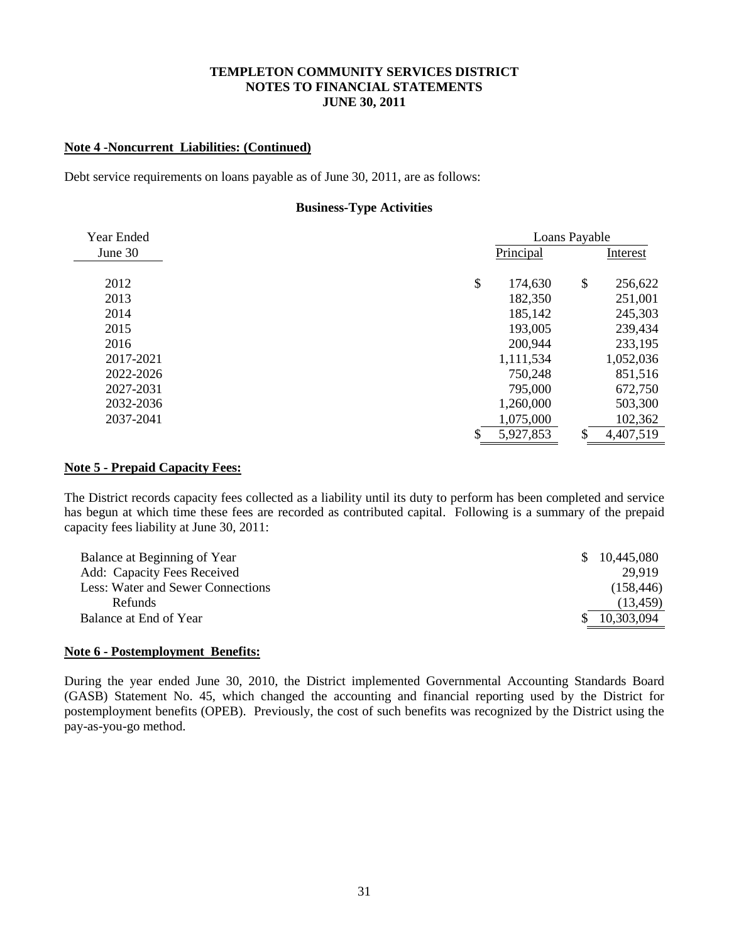#### **Note 4 -Noncurrent Liabilities: (Continued)**

Debt service requirements on loans payable as of June 30, 2011, are as follows:

#### **Business-Type Activities**

| Year Ended | Loans Payable   |               |           |
|------------|-----------------|---------------|-----------|
| June 30    | Principal       |               | Interest  |
|            |                 |               |           |
| 2012       | \$<br>174,630   | $\mathcal{S}$ | 256,622   |
| 2013       | 182,350         |               | 251,001   |
| 2014       | 185,142         |               | 245,303   |
| 2015       | 193,005         |               | 239,434   |
| 2016       | 200,944         |               | 233,195   |
| 2017-2021  | 1,111,534       |               | 1,052,036 |
| 2022-2026  | 750,248         |               | 851,516   |
| 2027-2031  | 795,000         |               | 672,750   |
| 2032-2036  | 1,260,000       |               | 503,300   |
| 2037-2041  | 1,075,000       |               | 102,362   |
|            | \$<br>5,927,853 | \$            | 4,407,519 |

# **Note 5 - Prepaid Capacity Fees:**

The District records capacity fees collected as a liability until its duty to perform has been completed and service has begun at which time these fees are recorded as contributed capital. Following is a summary of the prepaid capacity fees liability at June 30, 2011:

| Balance at Beginning of Year      | 10,445,080<br><sup>\$</sup> |
|-----------------------------------|-----------------------------|
| Add: Capacity Fees Received       | 29.919                      |
| Less: Water and Sewer Connections | (158, 446)                  |
| <b>Refunds</b>                    | (13, 459)                   |
| Balance at End of Year            | 10,303,094                  |

#### **Note 6 - Postemployment Benefits:**

During the year ended June 30, 2010, the District implemented Governmental Accounting Standards Board (GASB) Statement No. 45, which changed the accounting and financial reporting used by the District for postemployment benefits (OPEB). Previously, the cost of such benefits was recognized by the District using the pay-as-you-go method.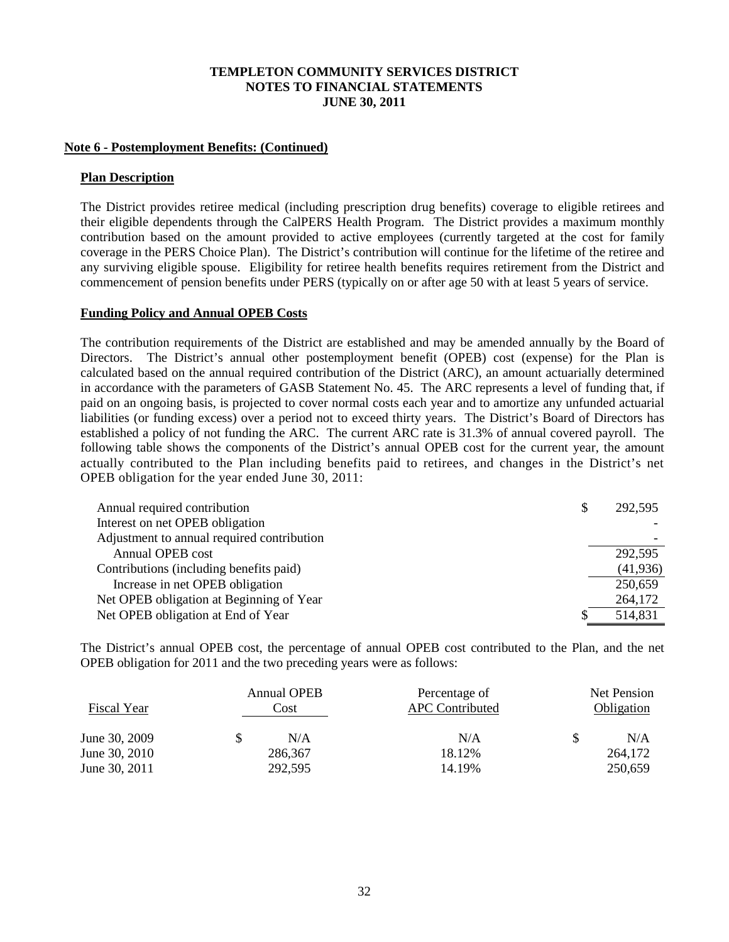### **Note 6 - Postemployment Benefits: (Continued)**

#### **Plan Description**

The District provides retiree medical (including prescription drug benefits) coverage to eligible retirees and their eligible dependents through the CalPERS Health Program. The District provides a maximum monthly contribution based on the amount provided to active employees (currently targeted at the cost for family coverage in the PERS Choice Plan). The District's contribution will continue for the lifetime of the retiree and any surviving eligible spouse. Eligibility for retiree health benefits requires retirement from the District and commencement of pension benefits under PERS (typically on or after age 50 with at least 5 years of service.

#### **Funding Policy and Annual OPEB Costs**

The contribution requirements of the District are established and may be amended annually by the Board of Directors. The District's annual other postemployment benefit (OPEB) cost (expense) for the Plan is calculated based on the annual required contribution of the District (ARC), an amount actuarially determined in accordance with the parameters of GASB Statement No. 45. The ARC represents a level of funding that, if paid on an ongoing basis, is projected to cover normal costs each year and to amortize any unfunded actuarial liabilities (or funding excess) over a period not to exceed thirty years. The District's Board of Directors has established a policy of not funding the ARC. The current ARC rate is 31.3% of annual covered payroll. The following table shows the components of the District's annual OPEB cost for the current year, the amount actually contributed to the Plan including benefits paid to retirees, and changes in the District's net OPEB obligation for the year ended June 30, 2011:

| Annual required contribution               | S | 292,595   |
|--------------------------------------------|---|-----------|
| Interest on net OPEB obligation            |   |           |
| Adjustment to annual required contribution |   |           |
| Annual OPEB cost                           |   | 292,595   |
| Contributions (including benefits paid)    |   | (41, 936) |
| Increase in net OPEB obligation            |   | 250,659   |
| Net OPEB obligation at Beginning of Year   |   | 264,172   |
| Net OPEB obligation at End of Year         |   | 514,831   |

The District's annual OPEB cost, the percentage of annual OPEB cost contributed to the Plan, and the net OPEB obligation for 2011 and the two preceding years were as follows:

| Fiscal Year   | <b>Annual OPEB</b><br>Cost | Percentage of<br><b>APC</b> Contributed | Net Pension<br>Obligation |         |  |
|---------------|----------------------------|-----------------------------------------|---------------------------|---------|--|
| June 30, 2009 | N/A                        | N/A                                     |                           | N/A     |  |
| June 30, 2010 | 286,367                    | 18.12%                                  |                           | 264,172 |  |
| June 30, 2011 | 292,595                    | 14.19%                                  |                           | 250,659 |  |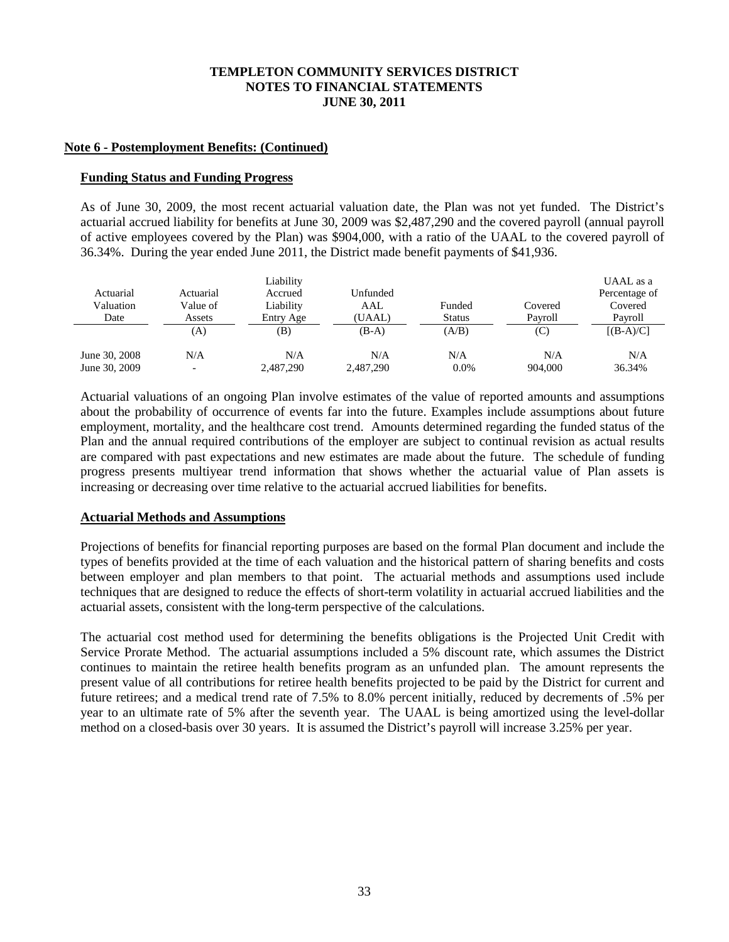#### **Note 6 - Postemployment Benefits: (Continued)**

#### **Funding Status and Funding Progress**

As of June 30, 2009, the most recent actuarial valuation date, the Plan was not yet funded. The District's actuarial accrued liability for benefits at June 30, 2009 was \$2,487,290 and the covered payroll (annual payroll of active employees covered by the Plan) was \$904,000, with a ratio of the UAAL to the covered payroll of 36.34%. During the year ended June 2011, the District made benefit payments of \$41,936.

|               |           | Liability |           |               |         | UAAL as a     |
|---------------|-----------|-----------|-----------|---------------|---------|---------------|
| Actuarial     | Actuarial | Accrued   | Unfunded  |               |         | Percentage of |
| Valuation     | Value of  | Liability | AAL       | Funded        | Covered | Covered       |
| Date          | Assets    | Entry Age | (UAAL)    | <b>Status</b> | Pavroll | Pavroll       |
|               | (A)       | (B)       | $(B-A)$   | (A/B)         | (C)     | $[(B-A)/C]$   |
| June 30, 2008 | N/A       | N/A       | N/A       | N/A           | N/A     | N/A           |
| June 30, 2009 |           | 2,487,290 | 2,487,290 | 0.0%          | 904,000 | 36.34%        |

Actuarial valuations of an ongoing Plan involve estimates of the value of reported amounts and assumptions about the probability of occurrence of events far into the future. Examples include assumptions about future employment, mortality, and the healthcare cost trend. Amounts determined regarding the funded status of the Plan and the annual required contributions of the employer are subject to continual revision as actual results are compared with past expectations and new estimates are made about the future. The schedule of funding progress presents multiyear trend information that shows whether the actuarial value of Plan assets is increasing or decreasing over time relative to the actuarial accrued liabilities for benefits.

## **Actuarial Methods and Assumptions**

Projections of benefits for financial reporting purposes are based on the formal Plan document and include the types of benefits provided at the time of each valuation and the historical pattern of sharing benefits and costs between employer and plan members to that point. The actuarial methods and assumptions used include techniques that are designed to reduce the effects of short-term volatility in actuarial accrued liabilities and the actuarial assets, consistent with the long-term perspective of the calculations.

The actuarial cost method used for determining the benefits obligations is the Projected Unit Credit with Service Prorate Method. The actuarial assumptions included a 5% discount rate, which assumes the District continues to maintain the retiree health benefits program as an unfunded plan. The amount represents the present value of all contributions for retiree health benefits projected to be paid by the District for current and future retirees; and a medical trend rate of 7.5% to 8.0% percent initially, reduced by decrements of .5% per year to an ultimate rate of 5% after the seventh year. The UAAL is being amortized using the level-dollar method on a closed-basis over 30 years. It is assumed the District's payroll will increase 3.25% per year.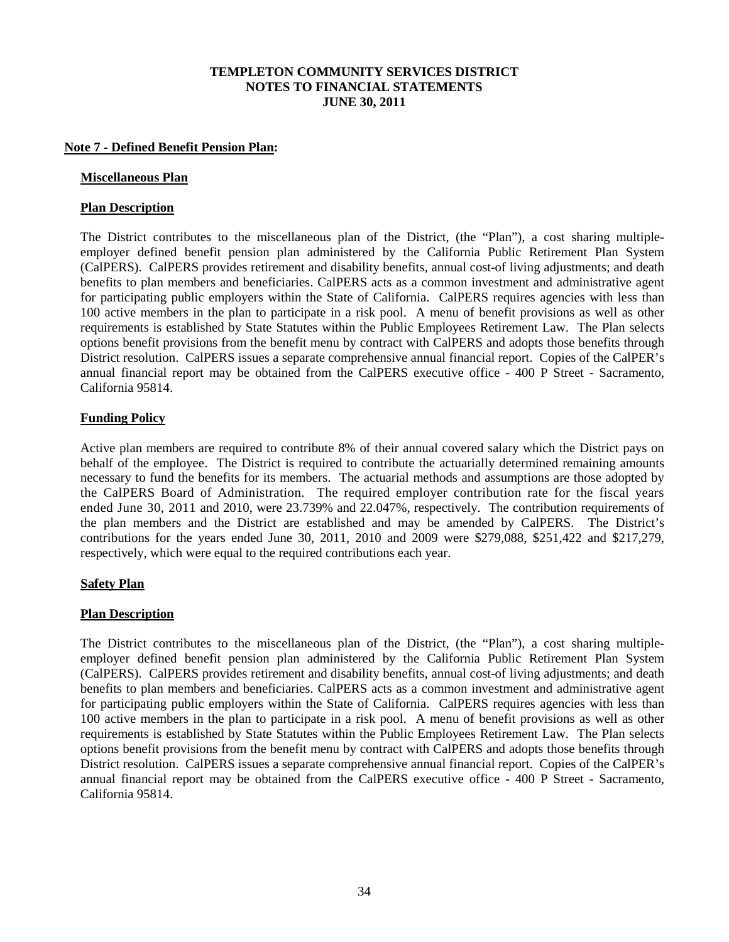### **Note 7 - Defined Benefit Pension Plan:**

#### **Miscellaneous Plan**

### **Plan Description**

The District contributes to the miscellaneous plan of the District, (the "Plan"), a cost sharing multipleemployer defined benefit pension plan administered by the California Public Retirement Plan System (CalPERS). CalPERS provides retirement and disability benefits, annual cost-of living adjustments; and death benefits to plan members and beneficiaries. CalPERS acts as a common investment and administrative agent for participating public employers within the State of California. CalPERS requires agencies with less than 100 active members in the plan to participate in a risk pool. A menu of benefit provisions as well as other requirements is established by State Statutes within the Public Employees Retirement Law. The Plan selects options benefit provisions from the benefit menu by contract with CalPERS and adopts those benefits through District resolution. CalPERS issues a separate comprehensive annual financial report. Copies of the CalPER's annual financial report may be obtained from the CalPERS executive office - 400 P Street - Sacramento, California 95814.

#### **Funding Policy**

Active plan members are required to contribute 8% of their annual covered salary which the District pays on behalf of the employee. The District is required to contribute the actuarially determined remaining amounts necessary to fund the benefits for its members. The actuarial methods and assumptions are those adopted by the CalPERS Board of Administration. The required employer contribution rate for the fiscal years ended June 30, 2011 and 2010, were 23.739% and 22.047%, respectively. The contribution requirements of the plan members and the District are established and may be amended by CalPERS. The District's contributions for the years ended June 30, 2011, 2010 and 2009 were \$279,088, \$251,422 and \$217,279, respectively, which were equal to the required contributions each year.

## **Safety Plan**

## **Plan Description**

The District contributes to the miscellaneous plan of the District, (the "Plan"), a cost sharing multipleemployer defined benefit pension plan administered by the California Public Retirement Plan System (CalPERS). CalPERS provides retirement and disability benefits, annual cost-of living adjustments; and death benefits to plan members and beneficiaries. CalPERS acts as a common investment and administrative agent for participating public employers within the State of California. CalPERS requires agencies with less than 100 active members in the plan to participate in a risk pool. A menu of benefit provisions as well as other requirements is established by State Statutes within the Public Employees Retirement Law. The Plan selects options benefit provisions from the benefit menu by contract with CalPERS and adopts those benefits through District resolution. CalPERS issues a separate comprehensive annual financial report. Copies of the CalPER's annual financial report may be obtained from the CalPERS executive office - 400 P Street - Sacramento, California 95814.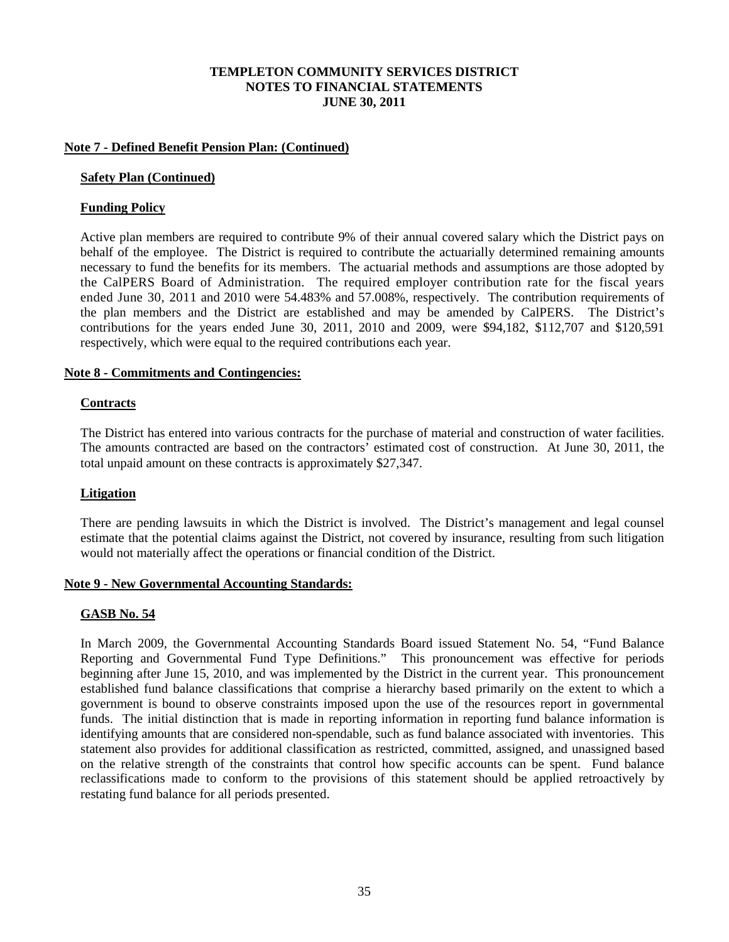### **Note 7 - Defined Benefit Pension Plan: (Continued)**

#### **Safety Plan (Continued)**

### **Funding Policy**

Active plan members are required to contribute 9% of their annual covered salary which the District pays on behalf of the employee. The District is required to contribute the actuarially determined remaining amounts necessary to fund the benefits for its members. The actuarial methods and assumptions are those adopted by the CalPERS Board of Administration. The required employer contribution rate for the fiscal years ended June 30, 2011 and 2010 were 54.483% and 57.008%, respectively. The contribution requirements of the plan members and the District are established and may be amended by CalPERS. The District's contributions for the years ended June 30, 2011, 2010 and 2009, were \$94,182, \$112,707 and \$120,591 respectively, which were equal to the required contributions each year.

#### **Note 8 - Commitments and Contingencies:**

#### **Contracts**

The District has entered into various contracts for the purchase of material and construction of water facilities. The amounts contracted are based on the contractors' estimated cost of construction. At June 30, 2011, the total unpaid amount on these contracts is approximately \$27,347.

## **Litigation**

There are pending lawsuits in which the District is involved. The District's management and legal counsel estimate that the potential claims against the District, not covered by insurance, resulting from such litigation would not materially affect the operations or financial condition of the District.

#### **Note 9 - New Governmental Accounting Standards:**

#### **GASB No. 54**

In March 2009, the Governmental Accounting Standards Board issued Statement No. 54, "Fund Balance Reporting and Governmental Fund Type Definitions." This pronouncement was effective for periods beginning after June 15, 2010, and was implemented by the District in the current year. This pronouncement established fund balance classifications that comprise a hierarchy based primarily on the extent to which a government is bound to observe constraints imposed upon the use of the resources report in governmental funds. The initial distinction that is made in reporting information in reporting fund balance information is identifying amounts that are considered non-spendable, such as fund balance associated with inventories. This statement also provides for additional classification as restricted, committed, assigned, and unassigned based on the relative strength of the constraints that control how specific accounts can be spent. Fund balance reclassifications made to conform to the provisions of this statement should be applied retroactively by restating fund balance for all periods presented.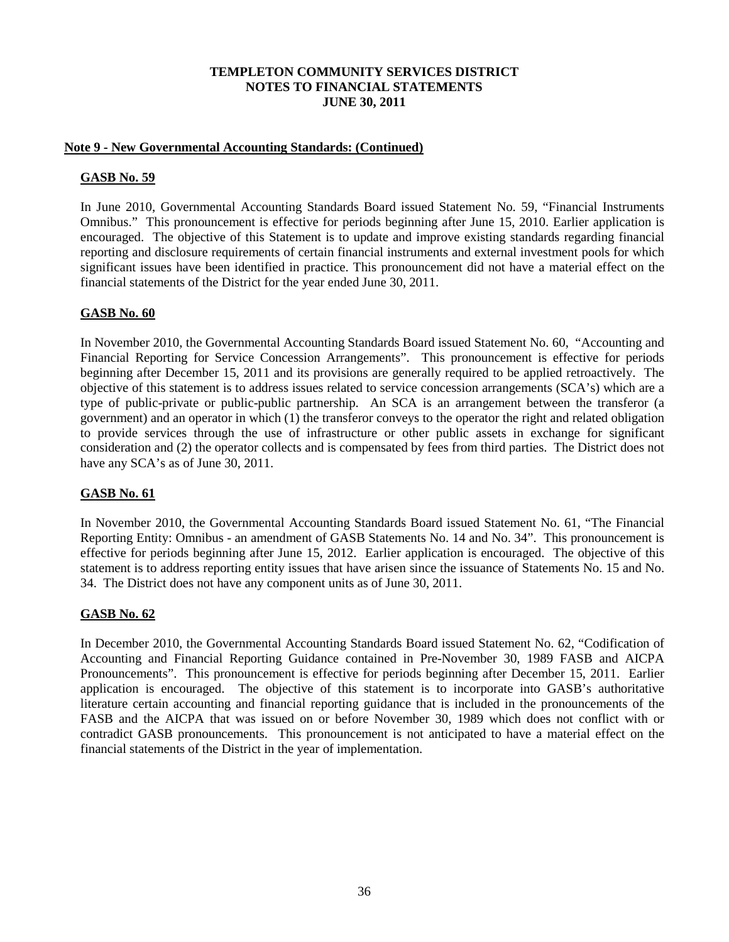## **Note 9 - New Governmental Accounting Standards: (Continued)**

# **GASB No. 59**

In June 2010, Governmental Accounting Standards Board issued Statement No. 59, "Financial Instruments Omnibus." This pronouncement is effective for periods beginning after June 15, 2010. Earlier application is encouraged. The objective of this Statement is to update and improve existing standards regarding financial reporting and disclosure requirements of certain financial instruments and external investment pools for which significant issues have been identified in practice. This pronouncement did not have a material effect on the financial statements of the District for the year ended June 30, 2011.

# **GASB No. 60**

In November 2010, the Governmental Accounting Standards Board issued Statement No. 60, "Accounting and Financial Reporting for Service Concession Arrangements". This pronouncement is effective for periods beginning after December 15, 2011 and its provisions are generally required to be applied retroactively. The objective of this statement is to address issues related to service concession arrangements (SCA's) which are a type of public-private or public-public partnership. An SCA is an arrangement between the transferor (a government) and an operator in which (1) the transferor conveys to the operator the right and related obligation to provide services through the use of infrastructure or other public assets in exchange for significant consideration and (2) the operator collects and is compensated by fees from third parties. The District does not have any SCA's as of June 30, 2011.

# **GASB No. 61**

In November 2010, the Governmental Accounting Standards Board issued Statement No. 61, "The Financial Reporting Entity: Omnibus - an amendment of GASB Statements No. 14 and No. 34". This pronouncement is effective for periods beginning after June 15, 2012. Earlier application is encouraged. The objective of this statement is to address reporting entity issues that have arisen since the issuance of Statements No. 15 and No. 34. The District does not have any component units as of June 30, 2011.

## **GASB No. 62**

In December 2010, the Governmental Accounting Standards Board issued Statement No. 62, "Codification of Accounting and Financial Reporting Guidance contained in Pre-November 30, 1989 FASB and AICPA Pronouncements". This pronouncement is effective for periods beginning after December 15, 2011. Earlier application is encouraged. The objective of this statement is to incorporate into GASB's authoritative literature certain accounting and financial reporting guidance that is included in the pronouncements of the FASB and the AICPA that was issued on or before November 30, 1989 which does not conflict with or contradict GASB pronouncements. This pronouncement is not anticipated to have a material effect on the financial statements of the District in the year of implementation.